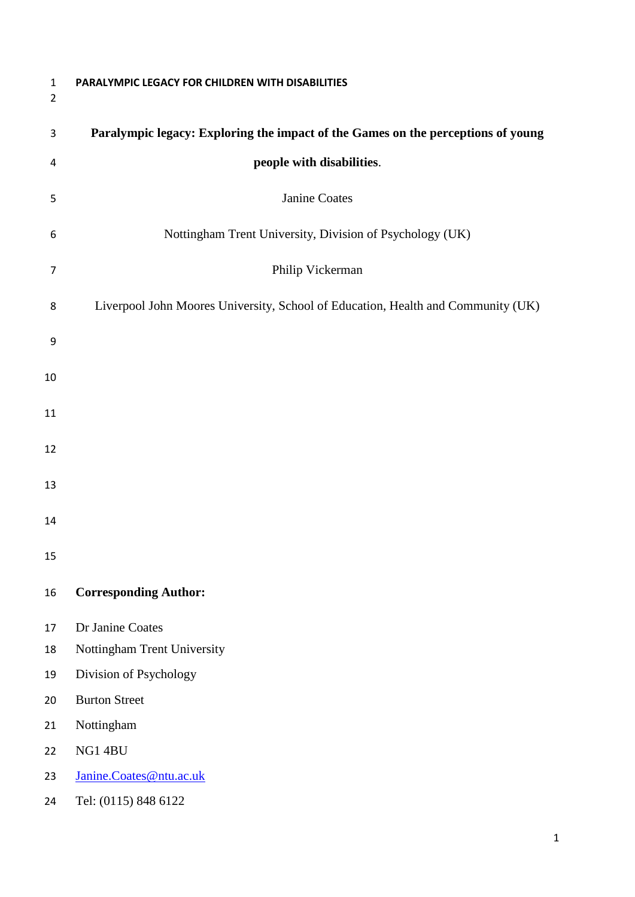**PARALYMPIC LEGACY FOR CHILDREN WITH DISABILITIES Paralympic legacy: Exploring the impact of the Games on the perceptions of young people with disabilities**. Janine Coates Nottingham Trent University, Division of Psychology (UK) Philip Vickerman Liverpool John Moores University, School of Education, Health and Community (UK) **Corresponding Author:** Dr Janine Coates Nottingham Trent University Division of Psychology Burton Street Nottingham NG1 4BU [Janine.Coates@ntu.ac.uk](mailto:Janine.Coates@ntu.ac.uk) Tel: (0115) 848 6122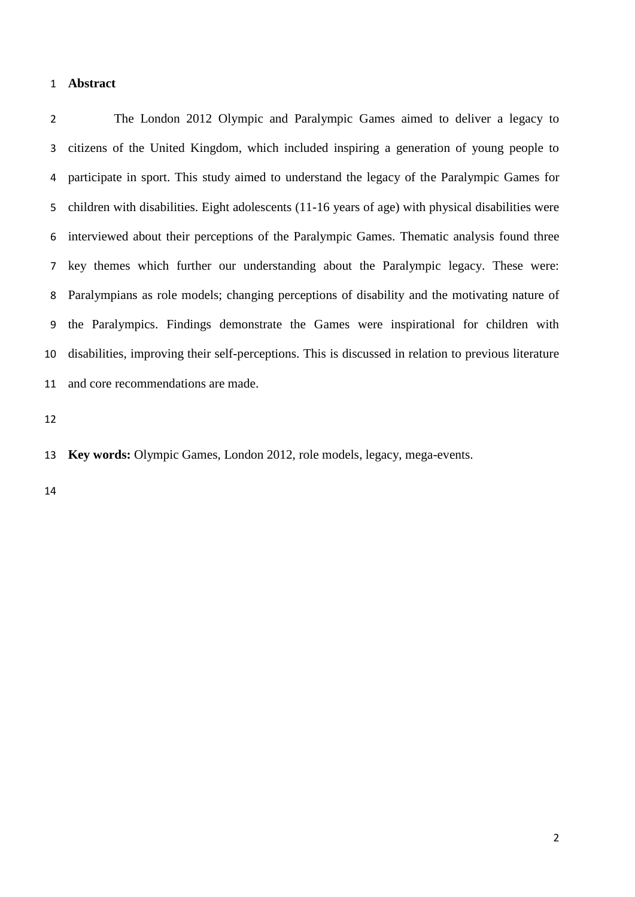# **Abstract**

 The London 2012 Olympic and Paralympic Games aimed to deliver a legacy to citizens of the United Kingdom, which included inspiring a generation of young people to participate in sport. This study aimed to understand the legacy of the Paralympic Games for children with disabilities. Eight adolescents (11-16 years of age) with physical disabilities were interviewed about their perceptions of the Paralympic Games. Thematic analysis found three key themes which further our understanding about the Paralympic legacy. These were: Paralympians as role models; changing perceptions of disability and the motivating nature of the Paralympics. Findings demonstrate the Games were inspirational for children with disabilities, improving their self-perceptions. This is discussed in relation to previous literature and core recommendations are made.

**Key words:** Olympic Games, London 2012, role models, legacy, mega-events.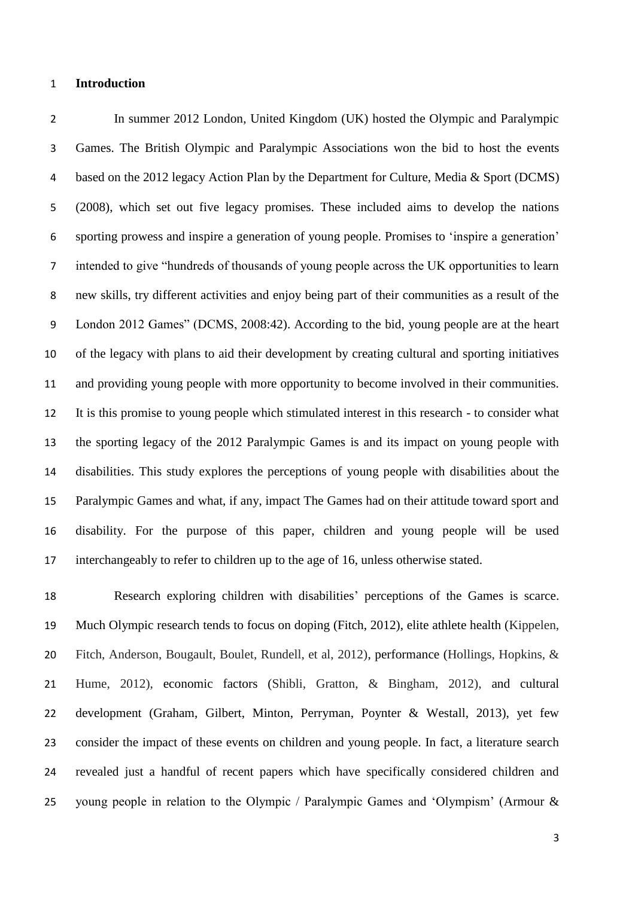## **Introduction**

 In summer 2012 London, United Kingdom (UK) hosted the Olympic and Paralympic Games. The British Olympic and Paralympic Associations won the bid to host the events based on the 2012 legacy Action Plan by the Department for Culture, Media & Sport (DCMS) (2008), which set out five legacy promises. These included aims to develop the nations sporting prowess and inspire a generation of young people. Promises to 'inspire a generation' intended to give "hundreds of thousands of young people across the UK opportunities to learn new skills, try different activities and enjoy being part of their communities as a result of the London 2012 Games" (DCMS, 2008:42). According to the bid, young people are at the heart of the legacy with plans to aid their development by creating cultural and sporting initiatives and providing young people with more opportunity to become involved in their communities. It is this promise to young people which stimulated interest in this research - to consider what the sporting legacy of the 2012 Paralympic Games is and its impact on young people with disabilities. This study explores the perceptions of young people with disabilities about the Paralympic Games and what, if any, impact The Games had on their attitude toward sport and disability. For the purpose of this paper, children and young people will be used interchangeably to refer to children up to the age of 16, unless otherwise stated.

 Research exploring children with disabilities' perceptions of the Games is scarce. Much Olympic research tends to focus on doping (Fitch, 2012), elite athlete health (Kippelen, Fitch, Anderson, Bougault, Boulet, Rundell, et al, 2012), performance (Hollings, Hopkins, & Hume, 2012), economic factors (Shibli, Gratton, & Bingham, 2012), and cultural development (Graham, Gilbert, Minton, Perryman, Poynter & Westall, 2013), yet few consider the impact of these events on children and young people. In fact, a literature search revealed just a handful of recent papers which have specifically considered children and young people in relation to the Olympic / Paralympic Games and 'Olympism' (Armour &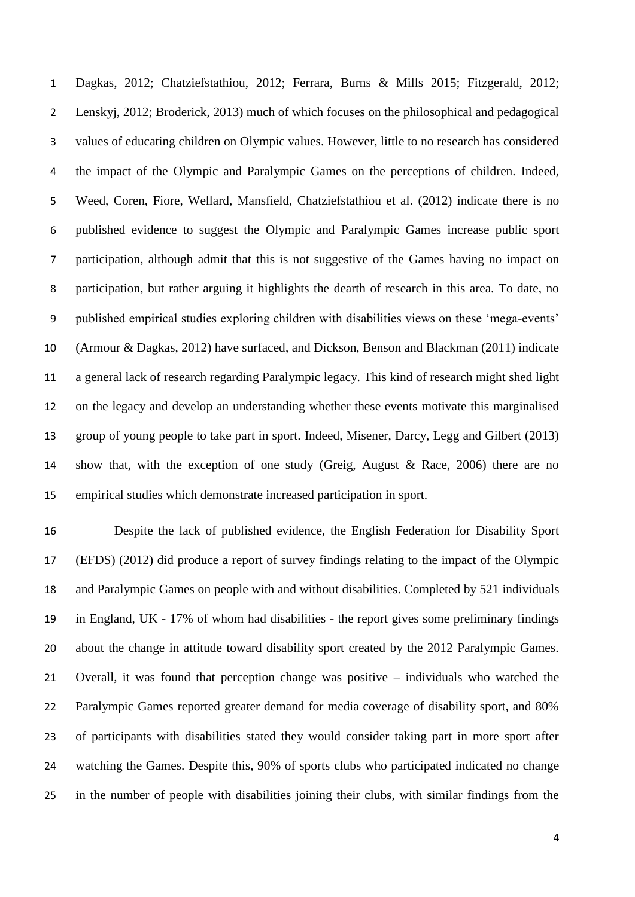Dagkas, 2012; Chatziefstathiou, 2012; Ferrara, Burns & Mills 2015; Fitzgerald, 2012; Lenskyj, 2012; Broderick, 2013) much of which focuses on the philosophical and pedagogical values of educating children on Olympic values. However, little to no research has considered the impact of the Olympic and Paralympic Games on the perceptions of children. Indeed, Weed, Coren, Fiore, Wellard, Mansfield, Chatziefstathiou et al. (2012) indicate there is no published evidence to suggest the Olympic and Paralympic Games increase public sport participation, although admit that this is not suggestive of the Games having no impact on participation, but rather arguing it highlights the dearth of research in this area. To date, no published empirical studies exploring children with disabilities views on these 'mega-events' (Armour & Dagkas, 2012) have surfaced, and Dickson, Benson and Blackman (2011) indicate a general lack of research regarding Paralympic legacy. This kind of research might shed light on the legacy and develop an understanding whether these events motivate this marginalised group of young people to take part in sport. Indeed, Misener, Darcy, Legg and Gilbert (2013) show that, with the exception of one study (Greig, August & Race, 2006) there are no empirical studies which demonstrate increased participation in sport.

 Despite the lack of published evidence, the English Federation for Disability Sport (EFDS) (2012) did produce a report of survey findings relating to the impact of the Olympic and Paralympic Games on people with and without disabilities. Completed by 521 individuals in England, UK - 17% of whom had disabilities - the report gives some preliminary findings 20 about the change in attitude toward disability sport created by the 2012 Paralympic Games. Overall, it was found that perception change was positive – individuals who watched the Paralympic Games reported greater demand for media coverage of disability sport, and 80% of participants with disabilities stated they would consider taking part in more sport after watching the Games. Despite this, 90% of sports clubs who participated indicated no change in the number of people with disabilities joining their clubs, with similar findings from the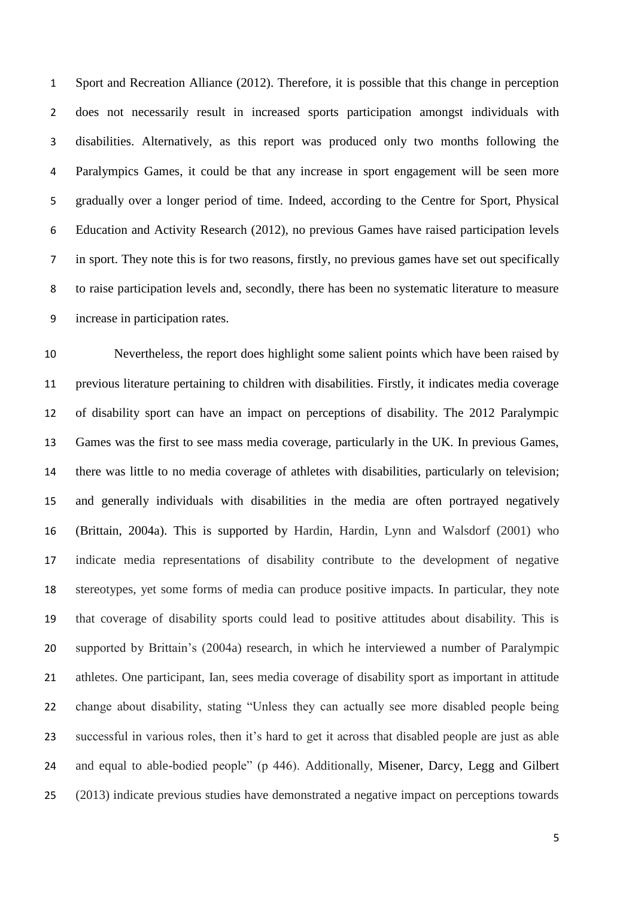Sport and Recreation Alliance (2012). Therefore, it is possible that this change in perception does not necessarily result in increased sports participation amongst individuals with disabilities. Alternatively, as this report was produced only two months following the Paralympics Games, it could be that any increase in sport engagement will be seen more gradually over a longer period of time. Indeed, according to the Centre for Sport, Physical Education and Activity Research (2012), no previous Games have raised participation levels in sport. They note this is for two reasons, firstly, no previous games have set out specifically to raise participation levels and, secondly, there has been no systematic literature to measure increase in participation rates.

 Nevertheless, the report does highlight some salient points which have been raised by previous literature pertaining to children with disabilities. Firstly, it indicates media coverage of disability sport can have an impact on perceptions of disability. The 2012 Paralympic Games was the first to see mass media coverage, particularly in the UK. In previous Games, there was little to no media coverage of athletes with disabilities, particularly on television; and generally individuals with disabilities in the media are often portrayed negatively (Brittain, 2004a). This is supported by Hardin, Hardin, Lynn and Walsdorf (2001) who indicate media representations of disability contribute to the development of negative stereotypes, yet some forms of media can produce positive impacts. In particular, they note that coverage of disability sports could lead to positive attitudes about disability. This is supported by Brittain's (2004a) research, in which he interviewed a number of Paralympic athletes. One participant, Ian, sees media coverage of disability sport as important in attitude change about disability, stating "Unless they can actually see more disabled people being successful in various roles, then it's hard to get it across that disabled people are just as able and equal to able-bodied people" (p 446). Additionally, Misener, Darcy, Legg and Gilbert (2013) indicate previous studies have demonstrated a negative impact on perceptions towards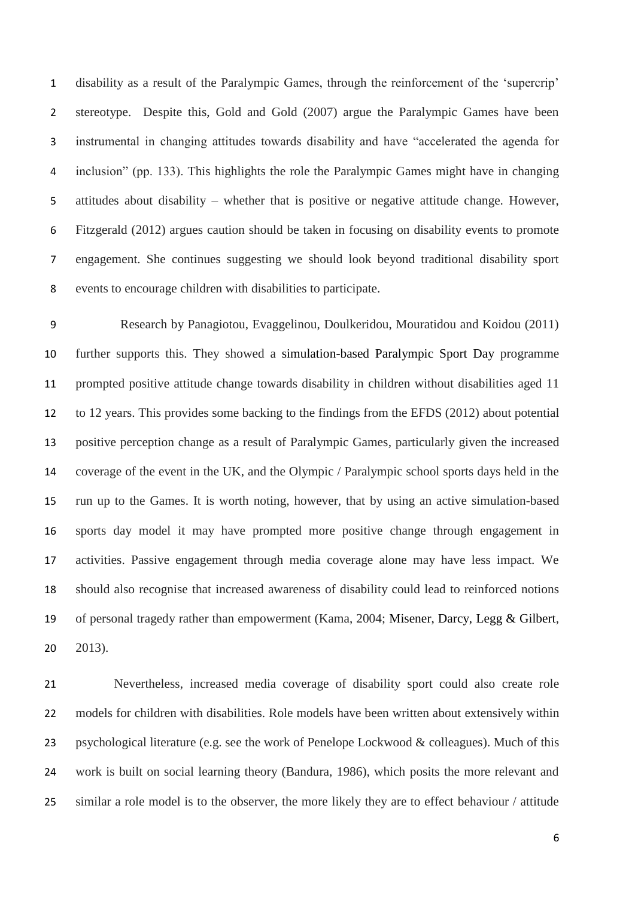disability as a result of the Paralympic Games, through the reinforcement of the 'supercrip' stereotype. Despite this, Gold and Gold (2007) argue the Paralympic Games have been instrumental in changing attitudes towards disability and have "accelerated the agenda for inclusion" (pp. 133). This highlights the role the Paralympic Games might have in changing attitudes about disability – whether that is positive or negative attitude change. However, Fitzgerald (2012) argues caution should be taken in focusing on disability events to promote engagement. She continues suggesting we should look beyond traditional disability sport events to encourage children with disabilities to participate.

 Research by Panagiotou, Evaggelinou, Doulkeridou, Mouratidou and Koidou (2011) further supports this. They showed a simulation-based Paralympic Sport Day programme prompted positive attitude change towards disability in children without disabilities aged 11 to 12 years. This provides some backing to the findings from the EFDS (2012) about potential positive perception change as a result of Paralympic Games, particularly given the increased coverage of the event in the UK, and the Olympic / Paralympic school sports days held in the run up to the Games. It is worth noting, however, that by using an active simulation-based sports day model it may have prompted more positive change through engagement in activities. Passive engagement through media coverage alone may have less impact. We should also recognise that increased awareness of disability could lead to reinforced notions of personal tragedy rather than empowerment (Kama, 2004; Misener, Darcy, Legg & Gilbert, 2013).

 Nevertheless, increased media coverage of disability sport could also create role models for children with disabilities. Role models have been written about extensively within psychological literature (e.g. see the work of Penelope Lockwood & colleagues). Much of this work is built on social learning theory (Bandura, 1986), which posits the more relevant and similar a role model is to the observer, the more likely they are to effect behaviour / attitude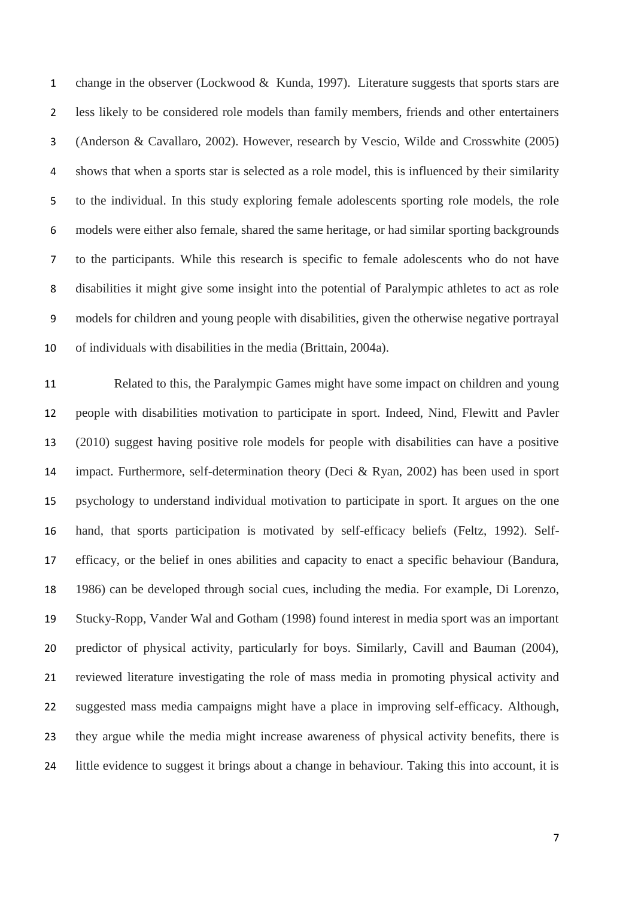1 change in the observer (Lockwood & Kunda, 1997). Literature suggests that sports stars are less likely to be considered role models than family members, friends and other entertainers (Anderson & Cavallaro, 2002). However, research by Vescio, Wilde and Crosswhite (2005) shows that when a sports star is selected as a role model, this is influenced by their similarity to the individual. In this study exploring female adolescents sporting role models, the role models were either also female, shared the same heritage, or had similar sporting backgrounds to the participants. While this research is specific to female adolescents who do not have disabilities it might give some insight into the potential of Paralympic athletes to act as role models for children and young people with disabilities, given the otherwise negative portrayal of individuals with disabilities in the media (Brittain, 2004a).

 Related to this, the Paralympic Games might have some impact on children and young people with disabilities motivation to participate in sport. Indeed, Nind, Flewitt and Pavler (2010) suggest having positive role models for people with disabilities can have a positive impact. Furthermore, self-determination theory (Deci & Ryan, 2002) has been used in sport psychology to understand individual motivation to participate in sport. It argues on the one hand, that sports participation is motivated by self-efficacy beliefs (Feltz, 1992). Self- efficacy, or the belief in ones abilities and capacity to enact a specific behaviour (Bandura, 1986) can be developed through social cues, including the media. For example, Di Lorenzo, Stucky-Ropp, Vander Wal and Gotham (1998) found interest in media sport was an important predictor of physical activity, particularly for boys. Similarly, Cavill and Bauman (2004), reviewed literature investigating the role of mass media in promoting physical activity and suggested mass media campaigns might have a place in improving self-efficacy. Although, they argue while the media might increase awareness of physical activity benefits, there is little evidence to suggest it brings about a change in behaviour. Taking this into account, it is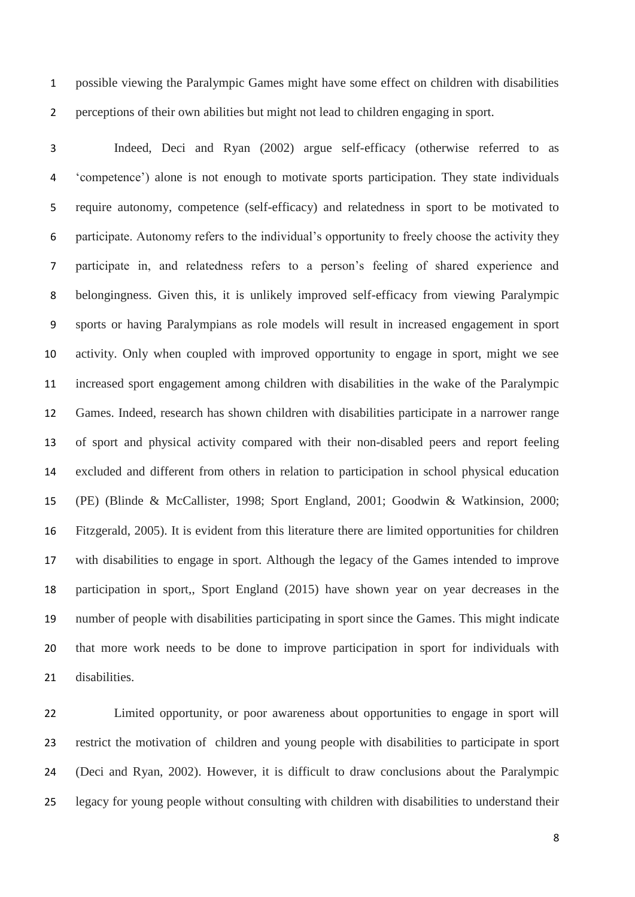possible viewing the Paralympic Games might have some effect on children with disabilities perceptions of their own abilities but might not lead to children engaging in sport.

 Indeed, Deci and Ryan (2002) argue self-efficacy (otherwise referred to as 'competence') alone is not enough to motivate sports participation. They state individuals require autonomy, competence (self-efficacy) and relatedness in sport to be motivated to participate. Autonomy refers to the individual's opportunity to freely choose the activity they participate in, and relatedness refers to a person's feeling of shared experience and belongingness. Given this, it is unlikely improved self-efficacy from viewing Paralympic sports or having Paralympians as role models will result in increased engagement in sport activity. Only when coupled with improved opportunity to engage in sport, might we see increased sport engagement among children with disabilities in the wake of the Paralympic Games. Indeed, research has shown children with disabilities participate in a narrower range of sport and physical activity compared with their non-disabled peers and report feeling excluded and different from others in relation to participation in school physical education (PE) (Blinde & McCallister, 1998; Sport England, 2001; Goodwin & Watkinsion, 2000; Fitzgerald, 2005). It is evident from this literature there are limited opportunities for children with disabilities to engage in sport. Although the legacy of the Games intended to improve participation in sport,, Sport England (2015) have shown year on year decreases in the number of people with disabilities participating in sport since the Games. This might indicate that more work needs to be done to improve participation in sport for individuals with disabilities.

 Limited opportunity, or poor awareness about opportunities to engage in sport will restrict the motivation of children and young people with disabilities to participate in sport (Deci and Ryan, 2002). However, it is difficult to draw conclusions about the Paralympic legacy for young people without consulting with children with disabilities to understand their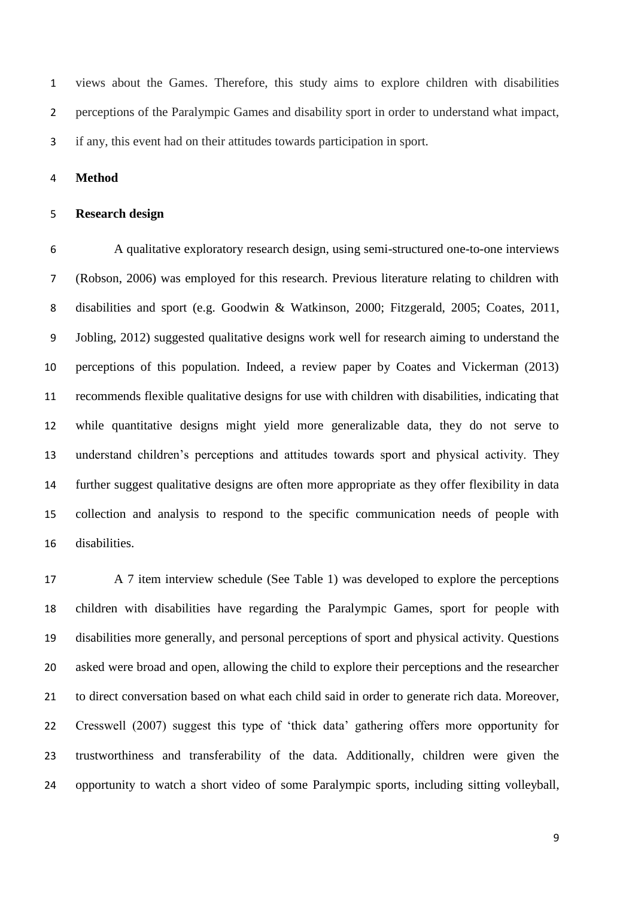views about the Games. Therefore, this study aims to explore children with disabilities perceptions of the Paralympic Games and disability sport in order to understand what impact, if any, this event had on their attitudes towards participation in sport.

**Method**

### **Research design**

 A qualitative exploratory research design, using semi-structured one-to-one interviews (Robson, 2006) was employed for this research. Previous literature relating to children with disabilities and sport (e.g. Goodwin & Watkinson, 2000; Fitzgerald, 2005; Coates, 2011, Jobling, 2012) suggested qualitative designs work well for research aiming to understand the perceptions of this population. Indeed, a review paper by Coates and Vickerman (2013) recommends flexible qualitative designs for use with children with disabilities, indicating that while quantitative designs might yield more generalizable data, they do not serve to understand children's perceptions and attitudes towards sport and physical activity. They further suggest qualitative designs are often more appropriate as they offer flexibility in data collection and analysis to respond to the specific communication needs of people with disabilities.

 A 7 item interview schedule (See Table 1) was developed to explore the perceptions children with disabilities have regarding the Paralympic Games, sport for people with disabilities more generally, and personal perceptions of sport and physical activity. Questions asked were broad and open, allowing the child to explore their perceptions and the researcher to direct conversation based on what each child said in order to generate rich data. Moreover, Cresswell (2007) suggest this type of 'thick data' gathering offers more opportunity for trustworthiness and transferability of the data. Additionally, children were given the opportunity to watch a short video of some Paralympic sports, including sitting volleyball,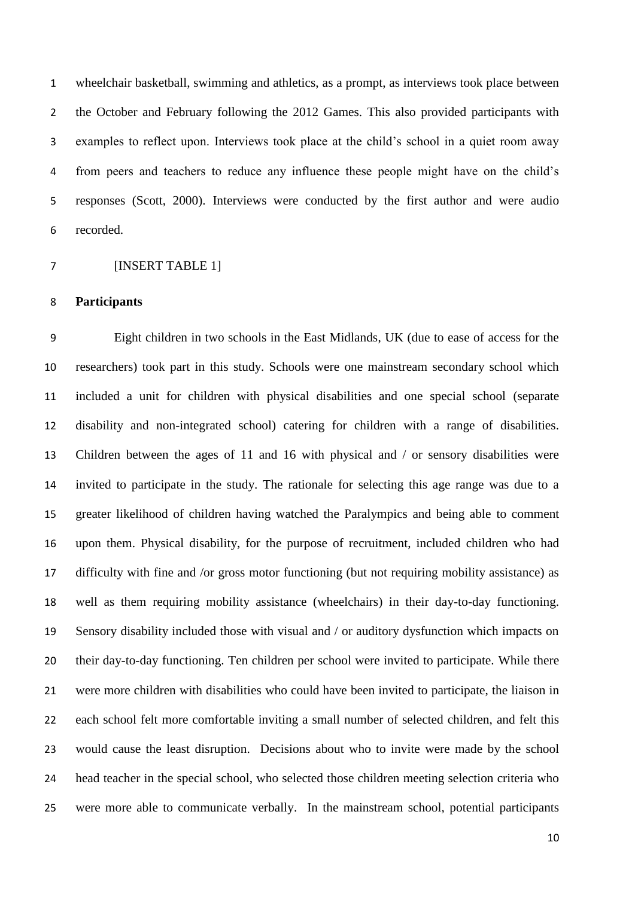wheelchair basketball, swimming and athletics, as a prompt, as interviews took place between the October and February following the 2012 Games. This also provided participants with examples to reflect upon. Interviews took place at the child's school in a quiet room away from peers and teachers to reduce any influence these people might have on the child's responses (Scott, 2000). Interviews were conducted by the first author and were audio recorded.

[INSERT TABLE 1]

#### **Participants**

 Eight children in two schools in the East Midlands, UK (due to ease of access for the researchers) took part in this study. Schools were one mainstream secondary school which included a unit for children with physical disabilities and one special school (separate disability and non-integrated school) catering for children with a range of disabilities. Children between the ages of 11 and 16 with physical and / or sensory disabilities were invited to participate in the study. The rationale for selecting this age range was due to a greater likelihood of children having watched the Paralympics and being able to comment upon them. Physical disability, for the purpose of recruitment, included children who had difficulty with fine and /or gross motor functioning (but not requiring mobility assistance) as well as them requiring mobility assistance (wheelchairs) in their day-to-day functioning. Sensory disability included those with visual and / or auditory dysfunction which impacts on their day-to-day functioning. Ten children per school were invited to participate. While there were more children with disabilities who could have been invited to participate, the liaison in each school felt more comfortable inviting a small number of selected children, and felt this would cause the least disruption. Decisions about who to invite were made by the school head teacher in the special school, who selected those children meeting selection criteria who were more able to communicate verbally. In the mainstream school, potential participants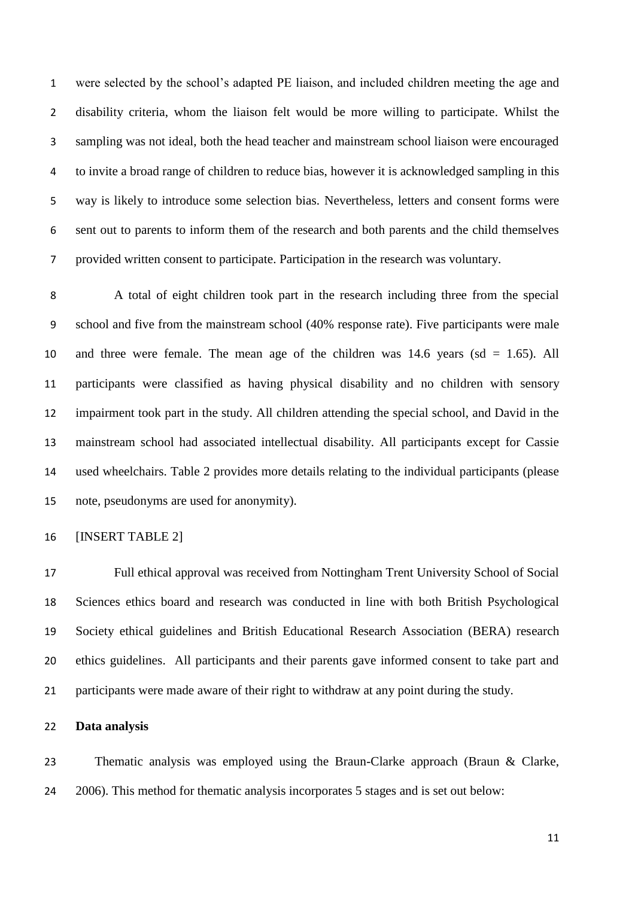were selected by the school's adapted PE liaison, and included children meeting the age and disability criteria, whom the liaison felt would be more willing to participate. Whilst the sampling was not ideal, both the head teacher and mainstream school liaison were encouraged to invite a broad range of children to reduce bias, however it is acknowledged sampling in this way is likely to introduce some selection bias. Nevertheless, letters and consent forms were sent out to parents to inform them of the research and both parents and the child themselves provided written consent to participate. Participation in the research was voluntary.

 A total of eight children took part in the research including three from the special school and five from the mainstream school (40% response rate). Five participants were male and three were female. The mean age of the children was 14.6 years (sd = 1.65). All participants were classified as having physical disability and no children with sensory impairment took part in the study. All children attending the special school, and David in the mainstream school had associated intellectual disability. All participants except for Cassie used wheelchairs. Table 2 provides more details relating to the individual participants (please note, pseudonyms are used for anonymity).

[INSERT TABLE 2]

 Full ethical approval was received from Nottingham Trent University School of Social Sciences ethics board and research was conducted in line with both British Psychological Society ethical guidelines and British Educational Research Association (BERA) research ethics guidelines. All participants and their parents gave informed consent to take part and participants were made aware of their right to withdraw at any point during the study.

### **Data analysis**

 Thematic analysis was employed using the Braun-Clarke approach (Braun & Clarke, 2006). This method for thematic analysis incorporates 5 stages and is set out below: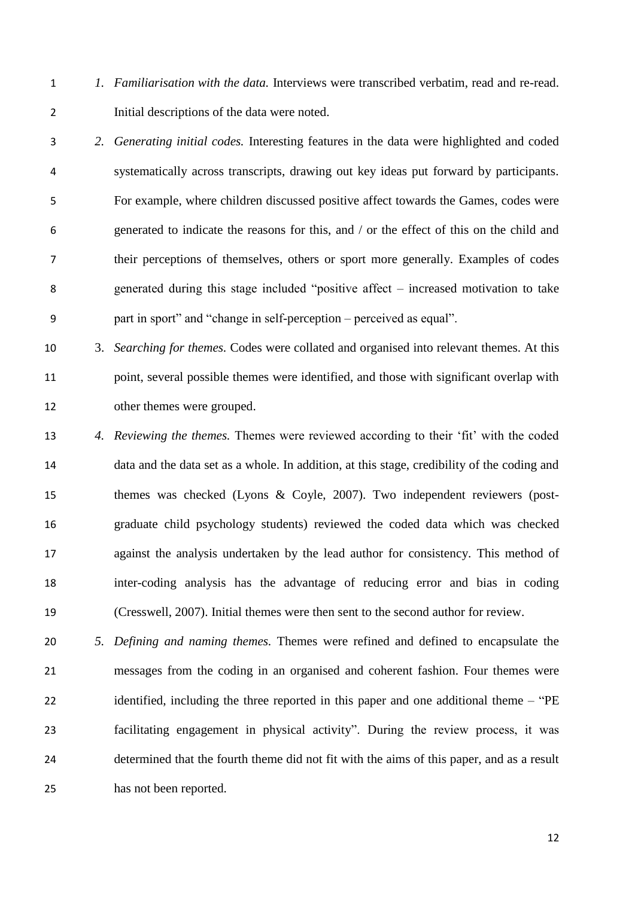- *1. Familiarisation with the data.* Interviews were transcribed verbatim, read and re-read. Initial descriptions of the data were noted.
- *2. Generating initial codes.* Interesting features in the data were highlighted and coded systematically across transcripts, drawing out key ideas put forward by participants. For example, where children discussed positive affect towards the Games, codes were generated to indicate the reasons for this, and / or the effect of this on the child and their perceptions of themselves, others or sport more generally. Examples of codes generated during this stage included "positive affect – increased motivation to take part in sport" and "change in self-perception – perceived as equal".
- 3. *Searching for themes.* Codes were collated and organised into relevant themes. At this point, several possible themes were identified, and those with significant overlap with other themes were grouped.
- *4. Reviewing the themes.* Themes were reviewed according to their 'fit' with the coded data and the data set as a whole. In addition, at this stage, credibility of the coding and themes was checked (Lyons & Coyle, 2007). Two independent reviewers (post- graduate child psychology students) reviewed the coded data which was checked against the analysis undertaken by the lead author for consistency. This method of inter-coding analysis has the advantage of reducing error and bias in coding (Cresswell, 2007). Initial themes were then sent to the second author for review.
- *5. Defining and naming themes.* Themes were refined and defined to encapsulate the messages from the coding in an organised and coherent fashion. Four themes were 22 identified, including the three reported in this paper and one additional theme – "PE facilitating engagement in physical activity". During the review process, it was determined that the fourth theme did not fit with the aims of this paper, and as a result has not been reported.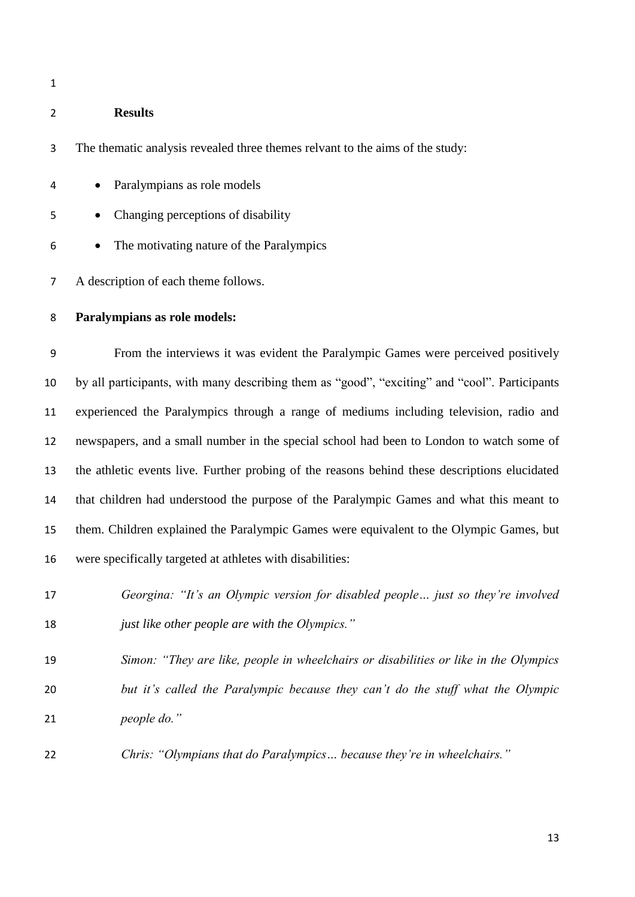### **Results**

The thematic analysis revealed three themes relvant to the aims of the study:

- Paralympians as role models
- Changing perceptions of disability
- The motivating nature of the Paralympics

A description of each theme follows.

### **Paralympians as role models:**

 From the interviews it was evident the Paralympic Games were perceived positively by all participants, with many describing them as "good", "exciting" and "cool". Participants experienced the Paralympics through a range of mediums including television, radio and newspapers, and a small number in the special school had been to London to watch some of the athletic events live. Further probing of the reasons behind these descriptions elucidated that children had understood the purpose of the Paralympic Games and what this meant to them. Children explained the Paralympic Games were equivalent to the Olympic Games, but were specifically targeted at athletes with disabilities:

 *Georgina: "It's an Olympic version for disabled people… just so they're involved just like other people are with the Olympics."*

 *Simon: "They are like, people in wheelchairs or disabilities or like in the Olympics but it's called the Paralympic because they can't do the stuff what the Olympic people do."*

*Chris: "Olympians that do Paralympics… because they're in wheelchairs."*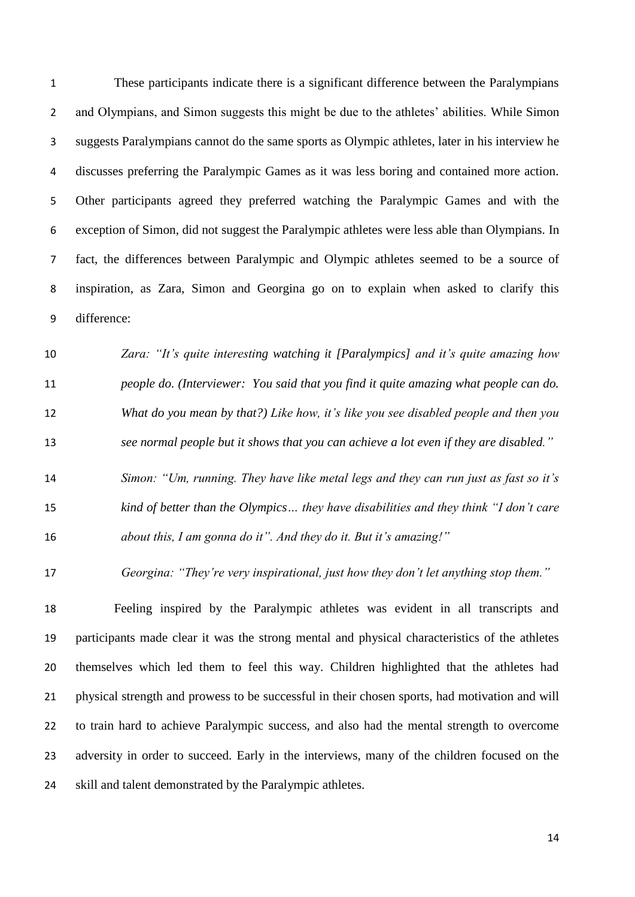These participants indicate there is a significant difference between the Paralympians and Olympians, and Simon suggests this might be due to the athletes' abilities. While Simon suggests Paralympians cannot do the same sports as Olympic athletes, later in his interview he discusses preferring the Paralympic Games as it was less boring and contained more action. Other participants agreed they preferred watching the Paralympic Games and with the exception of Simon, did not suggest the Paralympic athletes were less able than Olympians. In fact, the differences between Paralympic and Olympic athletes seemed to be a source of inspiration, as Zara, Simon and Georgina go on to explain when asked to clarify this difference:

 *Zara: "It's quite interesting watching it [Paralympics] and it's quite amazing how people do. (Interviewer: You said that you find it quite amazing what people can do. What do you mean by that?) Like how, it's like you see disabled people and then you see normal people but it shows that you can achieve a lot even if they are disabled."*

 *Simon: "Um, running. They have like metal legs and they can run just as fast so it's kind of better than the Olympics… they have disabilities and they think "I don't care about this, I am gonna do it". And they do it. But it's amazing!"*

*Georgina: "They're very inspirational, just how they don't let anything stop them."*

 Feeling inspired by the Paralympic athletes was evident in all transcripts and participants made clear it was the strong mental and physical characteristics of the athletes themselves which led them to feel this way. Children highlighted that the athletes had physical strength and prowess to be successful in their chosen sports, had motivation and will to train hard to achieve Paralympic success, and also had the mental strength to overcome 23 adversity in order to succeed. Early in the interviews, many of the children focused on the skill and talent demonstrated by the Paralympic athletes.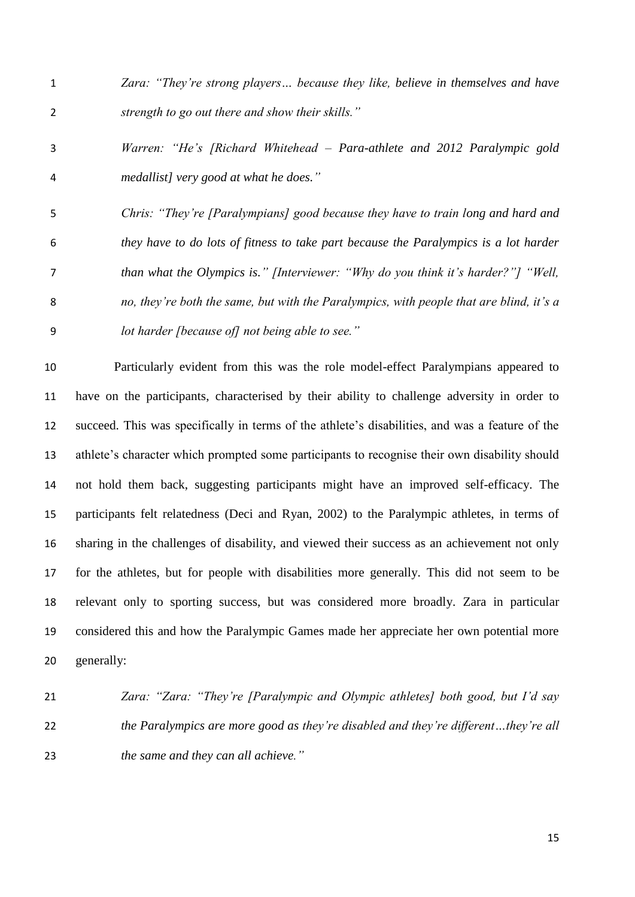- *Zara: "They're strong players… because they like, believe in themselves and have strength to go out there and show their skills."*
- *Warren: "He's [Richard Whitehead – Para-athlete and 2012 Paralympic gold medallist] very good at what he does."*
- *Chris: "They're [Paralympians] good because they have to train long and hard and they have to do lots of fitness to take part because the Paralympics is a lot harder than what the Olympics is." [Interviewer: "Why do you think it's harder?"] "Well, no, they're both the same, but with the Paralympics, with people that are blind, it's a lot harder [because of] not being able to see."*

 Particularly evident from this was the role model-effect Paralympians appeared to have on the participants, characterised by their ability to challenge adversity in order to succeed. This was specifically in terms of the athlete's disabilities, and was a feature of the athlete's character which prompted some participants to recognise their own disability should not hold them back, suggesting participants might have an improved self-efficacy. The participants felt relatedness (Deci and Ryan, 2002) to the Paralympic athletes, in terms of sharing in the challenges of disability, and viewed their success as an achievement not only for the athletes, but for people with disabilities more generally. This did not seem to be relevant only to sporting success, but was considered more broadly. Zara in particular considered this and how the Paralympic Games made her appreciate her own potential more generally:

 *Zara: "Zara: "They're [Paralympic and Olympic athletes] both good, but I'd say the Paralympics are more good as they're disabled and they're different…they're all the same and they can all achieve."*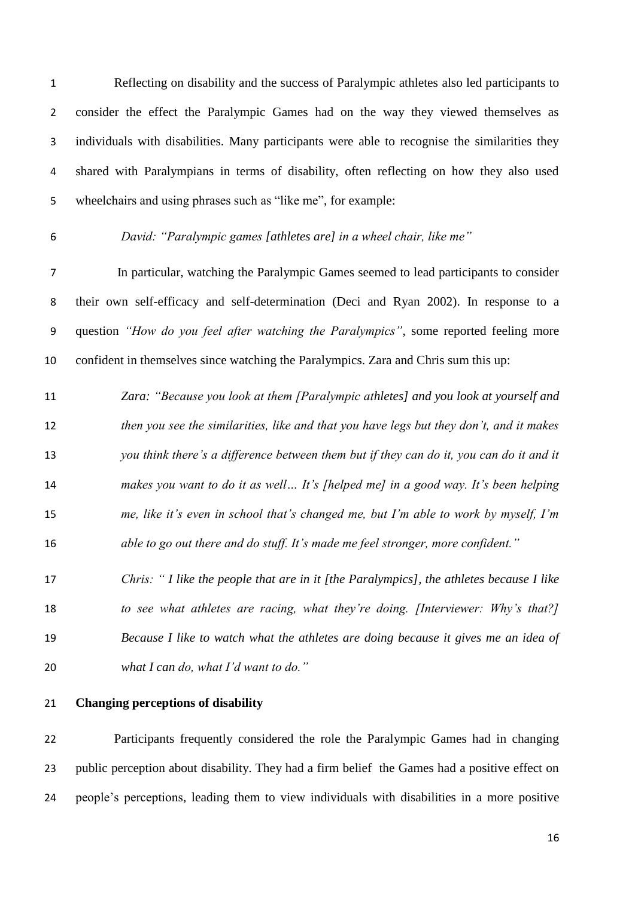Reflecting on disability and the success of Paralympic athletes also led participants to consider the effect the Paralympic Games had on the way they viewed themselves as individuals with disabilities. Many participants were able to recognise the similarities they shared with Paralympians in terms of disability, often reflecting on how they also used wheelchairs and using phrases such as "like me", for example:

# *David: "Paralympic games [athletes are] in a wheel chair, like me"*

 In particular, watching the Paralympic Games seemed to lead participants to consider their own self-efficacy and self-determination (Deci and Ryan 2002). In response to a question *"How do you feel after watching the Paralympics"*, some reported feeling more confident in themselves since watching the Paralympics. Zara and Chris sum this up:

 *Zara: "Because you look at them [Paralympic athletes] and you look at yourself and then you see the similarities, like and that you have legs but they don't, and it makes you think there's a difference between them but if they can do it, you can do it and it makes you want to do it as well… It's [helped me] in a good way. It's been helping me, like it's even in school that's changed me, but I'm able to work by myself, I'm able to go out there and do stuff. It's made me feel stronger, more confident."*

 *Chris: " I like the people that are in it [the Paralympics], the athletes because I like to see what athletes are racing, what they're doing. [Interviewer: Why's that?] Because I like to watch what the athletes are doing because it gives me an idea of what I can do, what I'd want to do."*

### **Changing perceptions of disability**

 Participants frequently considered the role the Paralympic Games had in changing public perception about disability. They had a firm belief the Games had a positive effect on people's perceptions, leading them to view individuals with disabilities in a more positive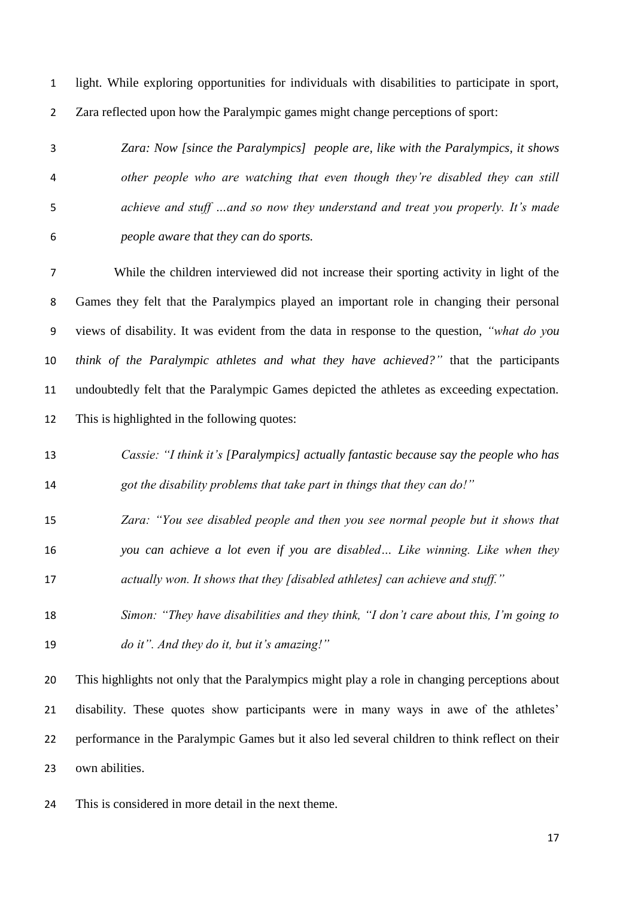light. While exploring opportunities for individuals with disabilities to participate in sport, Zara reflected upon how the Paralympic games might change perceptions of sport:

 *Zara: Now [since the Paralympics] people are, like with the Paralympics, it shows other people who are watching that even though they're disabled they can still achieve and stuff …and so now they understand and treat you properly. It's made people aware that they can do sports.*

 While the children interviewed did not increase their sporting activity in light of the Games they felt that the Paralympics played an important role in changing their personal views of disability. It was evident from the data in response to the question, *"what do you think of the Paralympic athletes and what they have achieved?"* that the participants undoubtedly felt that the Paralympic Games depicted the athletes as exceeding expectation. This is highlighted in the following quotes:

- *Cassie: "I think it's [Paralympics] actually fantastic because say the people who has got the disability problems that take part in things that they can do!"*
- *Zara: "You see disabled people and then you see normal people but it shows that you can achieve a lot even if you are disabled… Like winning. Like when they actually won. It shows that they [disabled athletes] can achieve and stuff."*
- *Simon: "They have disabilities and they think, "I don't care about this, I'm going to do it". And they do it, but it's amazing!"*

 This highlights not only that the Paralympics might play a role in changing perceptions about disability. These quotes show participants were in many ways in awe of the athletes' performance in the Paralympic Games but it also led several children to think reflect on their own abilities.

This is considered in more detail in the next theme.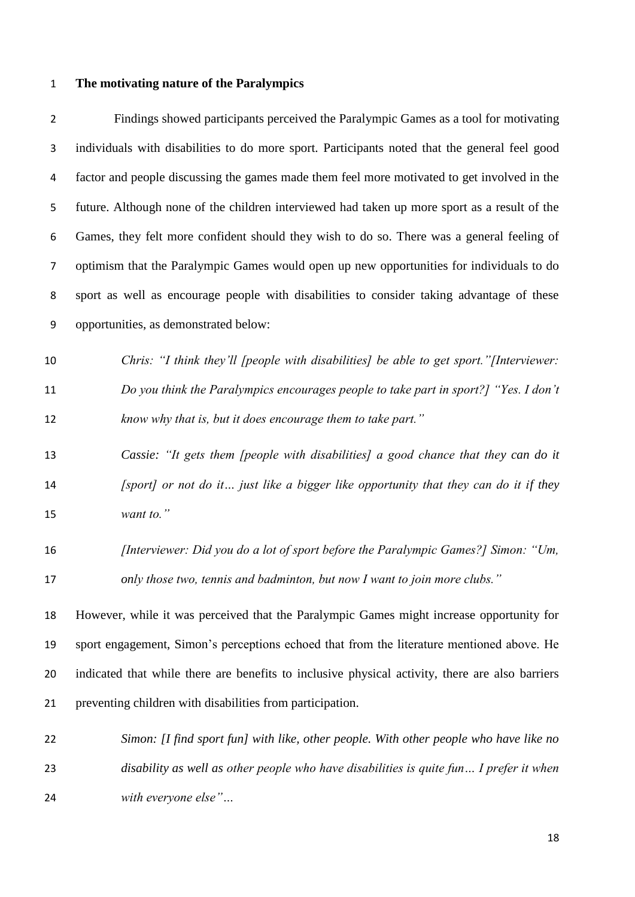# **The motivating nature of the Paralympics**

| $\overline{2}$ | Findings showed participants perceived the Paralympic Games as a tool for motivating            |
|----------------|-------------------------------------------------------------------------------------------------|
| 3              | individuals with disabilities to do more sport. Participants noted that the general feel good   |
| 4              | factor and people discussing the games made them feel more motivated to get involved in the     |
| 5              | future. Although none of the children interviewed had taken up more sport as a result of the    |
| 6              | Games, they felt more confident should they wish to do so. There was a general feeling of       |
| 7              | optimism that the Paralympic Games would open up new opportunities for individuals to do        |
| 8              | sport as well as encourage people with disabilities to consider taking advantage of these       |
| 9              | opportunities, as demonstrated below:                                                           |
| 10             | Chris: "I think they'll [people with disabilities] be able to get sport." [Interviewer:         |
| 11             | Do you think the Paralympics encourages people to take part in sport?] "Yes. I don't            |
| 12             | know why that is, but it does encourage them to take part."                                     |
| 13             | Cassie: "It gets them [people with disabilities] a good chance that they can do it              |
| 14             | [sport] or not do it just like a bigger like opportunity that they can do it if they            |
| 15             | want to."                                                                                       |
| 16             | [Interviewer: Did you do a lot of sport before the Paralympic Games?] Simon: "Um,               |
| 17             | only those two, tennis and badminton, but now I want to join more clubs."                       |
| 18             | However, while it was perceived that the Paralympic Games might increase opportunity for        |
| 19             | sport engagement, Simon's perceptions echoed that from the literature mentioned above. He       |
| 20             | indicated that while there are benefits to inclusive physical activity, there are also barriers |
| 21             | preventing children with disabilities from participation.                                       |
| 22             | Simon: [I find sport fun] with like, other people. With other people who have like no           |
| 23             | disability as well as other people who have disabilities is quite fun I prefer it when          |

*with everyone else"…*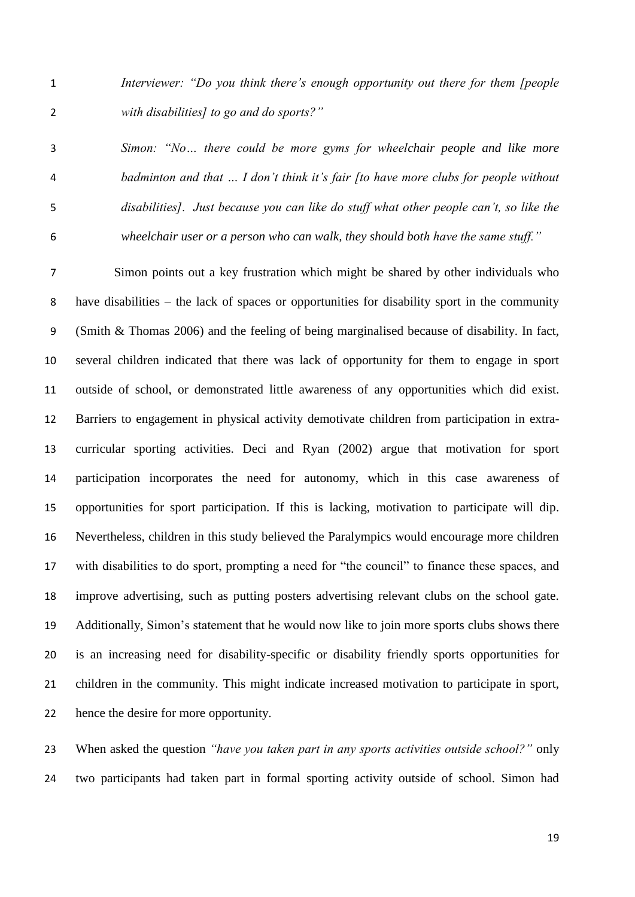*Interviewer: "Do you think there's enough opportunity out there for them [people with disabilities] to go and do sports?"*

 *Simon: "No… there could be more gyms for wheelchair people and like more badminton and that … I don't think it's fair [to have more clubs for people without disabilities]. Just because you can like do stuff what other people can't, so like the wheelchair user or a person who can walk, they should both have the same stuff."*

 Simon points out a key frustration which might be shared by other individuals who have disabilities – the lack of spaces or opportunities for disability sport in the community (Smith & Thomas 2006) and the feeling of being marginalised because of disability. In fact, several children indicated that there was lack of opportunity for them to engage in sport outside of school, or demonstrated little awareness of any opportunities which did exist. Barriers to engagement in physical activity demotivate children from participation in extra- curricular sporting activities. Deci and Ryan (2002) argue that motivation for sport participation incorporates the need for autonomy, which in this case awareness of opportunities for sport participation. If this is lacking, motivation to participate will dip. Nevertheless, children in this study believed the Paralympics would encourage more children with disabilities to do sport, prompting a need for "the council" to finance these spaces, and improve advertising, such as putting posters advertising relevant clubs on the school gate. Additionally, Simon's statement that he would now like to join more sports clubs shows there is an increasing need for disability-specific or disability friendly sports opportunities for children in the community. This might indicate increased motivation to participate in sport, hence the desire for more opportunity.

 When asked the question *"have you taken part in any sports activities outside school?"* only two participants had taken part in formal sporting activity outside of school. Simon had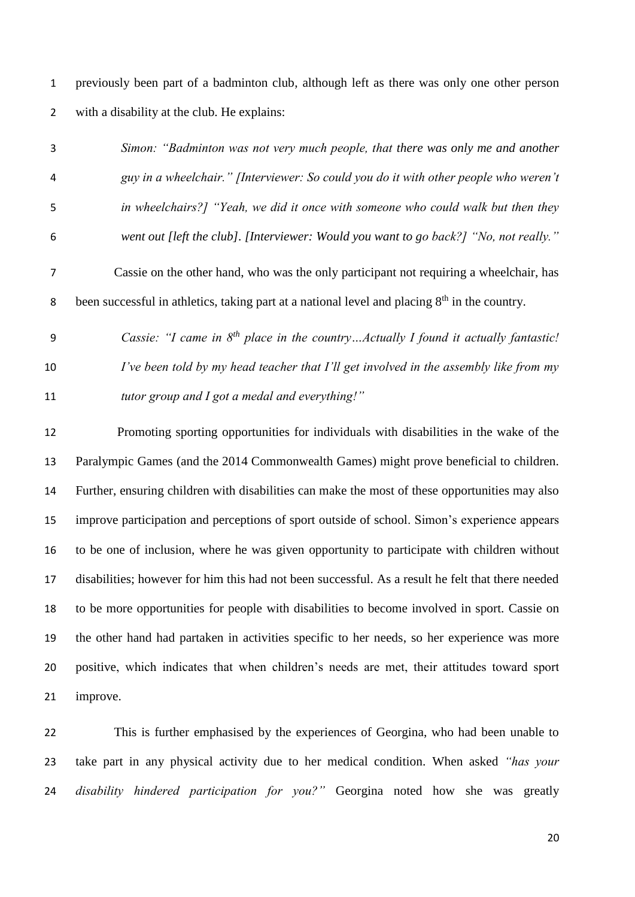previously been part of a badminton club, although left as there was only one other person with a disability at the club. He explains:

- *Simon: "Badminton was not very much people, that there was only me and another guy in a wheelchair." [Interviewer: So could you do it with other people who weren't in wheelchairs?] "Yeah, we did it once with someone who could walk but then they went out [left the club]. [Interviewer: Would you want to go back?] "No, not really."* Cassie on the other hand, who was the only participant not requiring a wheelchair, has been successful in athletics, taking part at a national level and placing  $8<sup>th</sup>$  in the country.
- *Cassie: "I came in 8th place in the country…Actually I found it actually fantastic! I've been told by my head teacher that I'll get involved in the assembly like from my tutor group and I got a medal and everything!"*

 Promoting sporting opportunities for individuals with disabilities in the wake of the Paralympic Games (and the 2014 Commonwealth Games) might prove beneficial to children. Further, ensuring children with disabilities can make the most of these opportunities may also improve participation and perceptions of sport outside of school. Simon's experience appears to be one of inclusion, where he was given opportunity to participate with children without disabilities; however for him this had not been successful. As a result he felt that there needed to be more opportunities for people with disabilities to become involved in sport. Cassie on the other hand had partaken in activities specific to her needs, so her experience was more positive, which indicates that when children's needs are met, their attitudes toward sport improve.

 This is further emphasised by the experiences of Georgina, who had been unable to take part in any physical activity due to her medical condition. When asked *"has your disability hindered participation for you?"* Georgina noted how she was greatly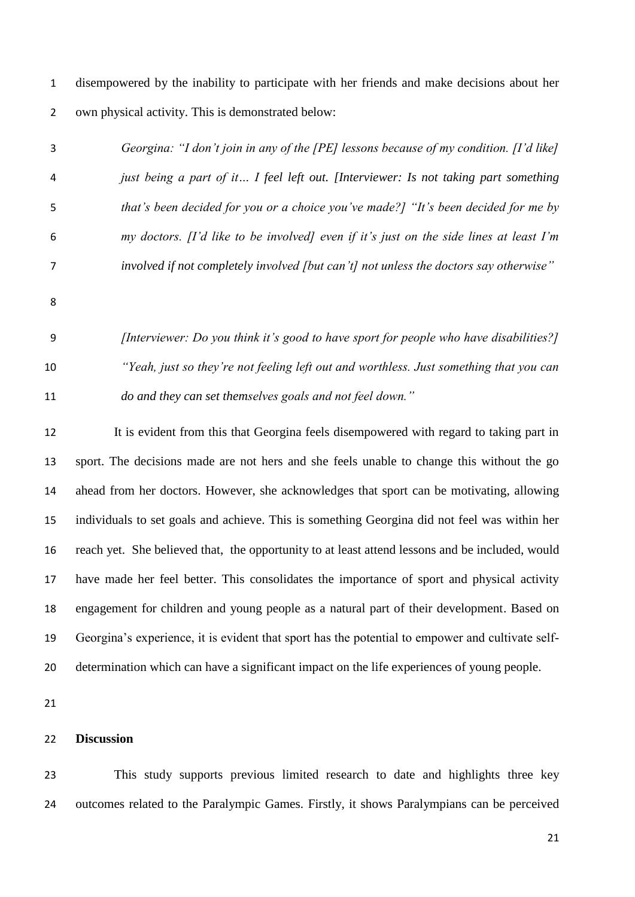disempowered by the inability to participate with her friends and make decisions about her own physical activity. This is demonstrated below:

| 3  | Georgina: "I don't join in any of the [PE] lessons because of my condition. [I'd like] |
|----|----------------------------------------------------------------------------------------|
| 4  | just being a part of it I feel left out. [Interviewer: Is not taking part something    |
| 5  | that's been decided for you or a choice you've made?] "It's been decided for me by     |
| 6  | my doctors. [I'd like to be involved] even if it's just on the side lines at least I'm |
| 7  | involved if not completely involved [but can't] not unless the doctors say otherwise"  |
| 8  |                                                                                        |
| 9  | [Interviewer: Do you think it's good to have sport for people who have disabilities?]  |
| 10 | "Yeah, just so they're not feeling left out and worthless. Just something that you can |
| 11 | do and they can set themselves goals and not feel down."                               |
| 12 | It is evident from this that Georgina feels disempowered with regard to taking part in |

 sport. The decisions made are not hers and she feels unable to change this without the go ahead from her doctors. However, she acknowledges that sport can be motivating, allowing individuals to set goals and achieve. This is something Georgina did not feel was within her reach yet. She believed that, the opportunity to at least attend lessons and be included, would have made her feel better. This consolidates the importance of sport and physical activity engagement for children and young people as a natural part of their development. Based on Georgina's experience, it is evident that sport has the potential to empower and cultivate self-determination which can have a significant impact on the life experiences of young people.

### **Discussion**

 This study supports previous limited research to date and highlights three key outcomes related to the Paralympic Games. Firstly, it shows Paralympians can be perceived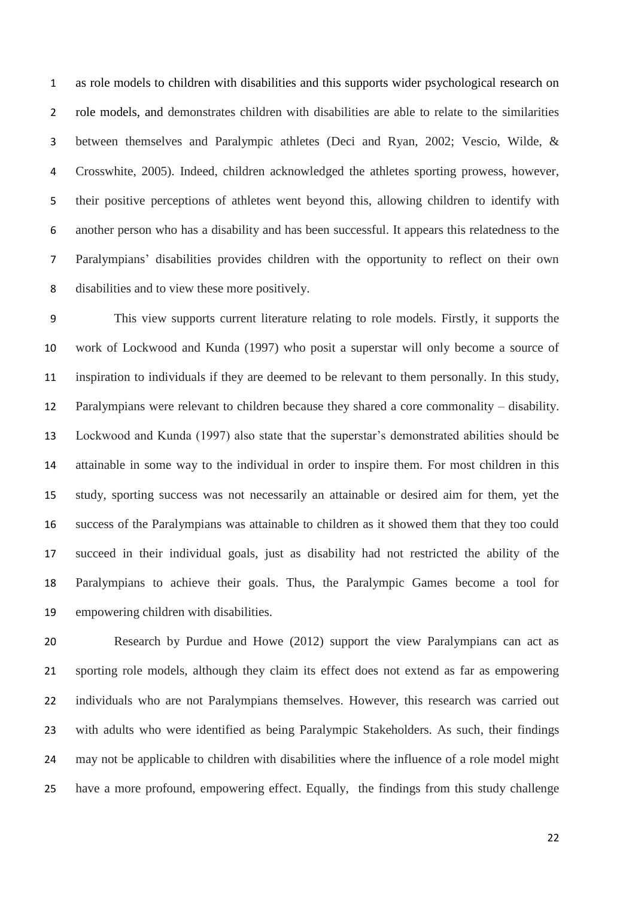as role models to children with disabilities and this supports wider psychological research on role models, and demonstrates children with disabilities are able to relate to the similarities between themselves and Paralympic athletes (Deci and Ryan, 2002; Vescio, Wilde, & Crosswhite, 2005). Indeed, children acknowledged the athletes sporting prowess, however, their positive perceptions of athletes went beyond this, allowing children to identify with another person who has a disability and has been successful. It appears this relatedness to the Paralympians' disabilities provides children with the opportunity to reflect on their own disabilities and to view these more positively.

 This view supports current literature relating to role models. Firstly, it supports the work of Lockwood and Kunda (1997) who posit a superstar will only become a source of inspiration to individuals if they are deemed to be relevant to them personally. In this study, Paralympians were relevant to children because they shared a core commonality – disability. Lockwood and Kunda (1997) also state that the superstar's demonstrated abilities should be attainable in some way to the individual in order to inspire them. For most children in this study, sporting success was not necessarily an attainable or desired aim for them, yet the success of the Paralympians was attainable to children as it showed them that they too could succeed in their individual goals, just as disability had not restricted the ability of the Paralympians to achieve their goals. Thus, the Paralympic Games become a tool for empowering children with disabilities.

 Research by Purdue and Howe (2012) support the view Paralympians can act as sporting role models, although they claim its effect does not extend as far as empowering individuals who are not Paralympians themselves. However, this research was carried out with adults who were identified as being Paralympic Stakeholders. As such, their findings may not be applicable to children with disabilities where the influence of a role model might have a more profound, empowering effect. Equally, the findings from this study challenge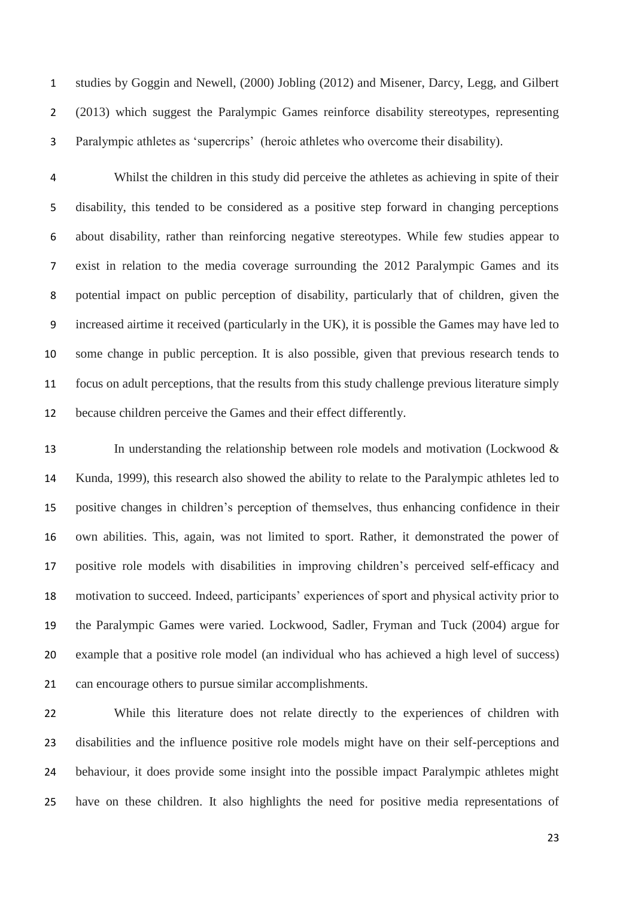studies by Goggin and Newell, (2000) Jobling (2012) and Misener, Darcy, Legg, and Gilbert (2013) which suggest the Paralympic Games reinforce disability stereotypes, representing Paralympic athletes as 'supercrips' (heroic athletes who overcome their disability).

 Whilst the children in this study did perceive the athletes as achieving in spite of their disability, this tended to be considered as a positive step forward in changing perceptions about disability, rather than reinforcing negative stereotypes. While few studies appear to exist in relation to the media coverage surrounding the 2012 Paralympic Games and its potential impact on public perception of disability, particularly that of children, given the increased airtime it received (particularly in the UK), it is possible the Games may have led to some change in public perception. It is also possible, given that previous research tends to focus on adult perceptions, that the results from this study challenge previous literature simply because children perceive the Games and their effect differently.

 In understanding the relationship between role models and motivation (Lockwood & Kunda, 1999), this research also showed the ability to relate to the Paralympic athletes led to positive changes in children's perception of themselves, thus enhancing confidence in their own abilities. This, again, was not limited to sport. Rather, it demonstrated the power of positive role models with disabilities in improving children's perceived self-efficacy and motivation to succeed. Indeed, participants' experiences of sport and physical activity prior to the Paralympic Games were varied. Lockwood, Sadler, Fryman and Tuck (2004) argue for example that a positive role model (an individual who has achieved a high level of success) can encourage others to pursue similar accomplishments.

 While this literature does not relate directly to the experiences of children with disabilities and the influence positive role models might have on their self-perceptions and behaviour, it does provide some insight into the possible impact Paralympic athletes might have on these children. It also highlights the need for positive media representations of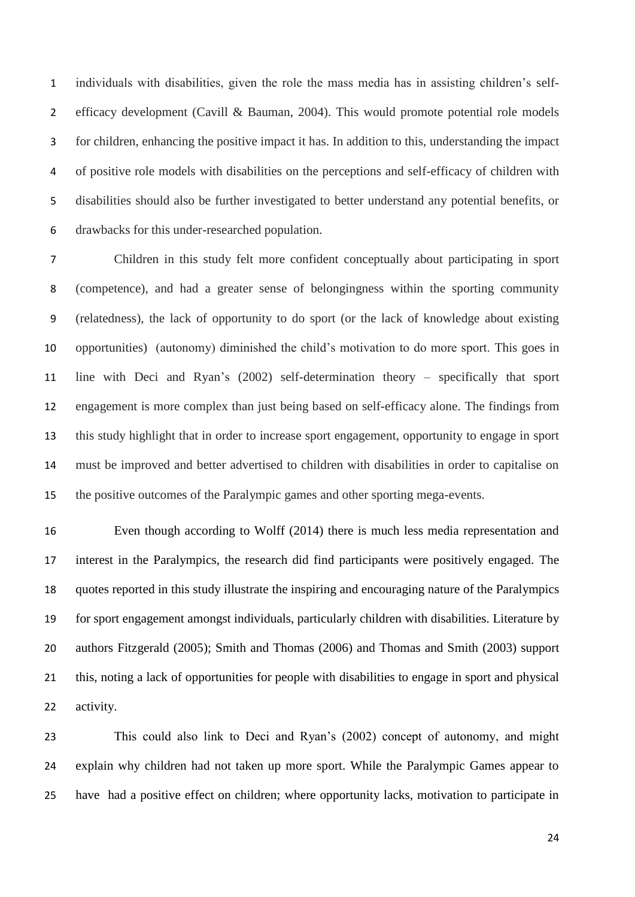individuals with disabilities, given the role the mass media has in assisting children's self-2 efficacy development (Cavill & Bauman, 2004). This would promote potential role models for children, enhancing the positive impact it has. In addition to this, understanding the impact of positive role models with disabilities on the perceptions and self-efficacy of children with disabilities should also be further investigated to better understand any potential benefits, or drawbacks for this under-researched population.

 Children in this study felt more confident conceptually about participating in sport (competence), and had a greater sense of belongingness within the sporting community (relatedness), the lack of opportunity to do sport (or the lack of knowledge about existing opportunities) (autonomy) diminished the child's motivation to do more sport. This goes in line with Deci and Ryan's (2002) self-determination theory – specifically that sport engagement is more complex than just being based on self-efficacy alone. The findings from this study highlight that in order to increase sport engagement, opportunity to engage in sport must be improved and better advertised to children with disabilities in order to capitalise on the positive outcomes of the Paralympic games and other sporting mega-events.

 Even though according to Wolff (2014) there is much less media representation and interest in the Paralympics, the research did find participants were positively engaged. The quotes reported in this study illustrate the inspiring and encouraging nature of the Paralympics for sport engagement amongst individuals, particularly children with disabilities. Literature by authors Fitzgerald (2005); Smith and Thomas (2006) and Thomas and Smith (2003) support this, noting a lack of opportunities for people with disabilities to engage in sport and physical activity.

 This could also link to Deci and Ryan's (2002) concept of autonomy, and might explain why children had not taken up more sport. While the Paralympic Games appear to have had a positive effect on children; where opportunity lacks, motivation to participate in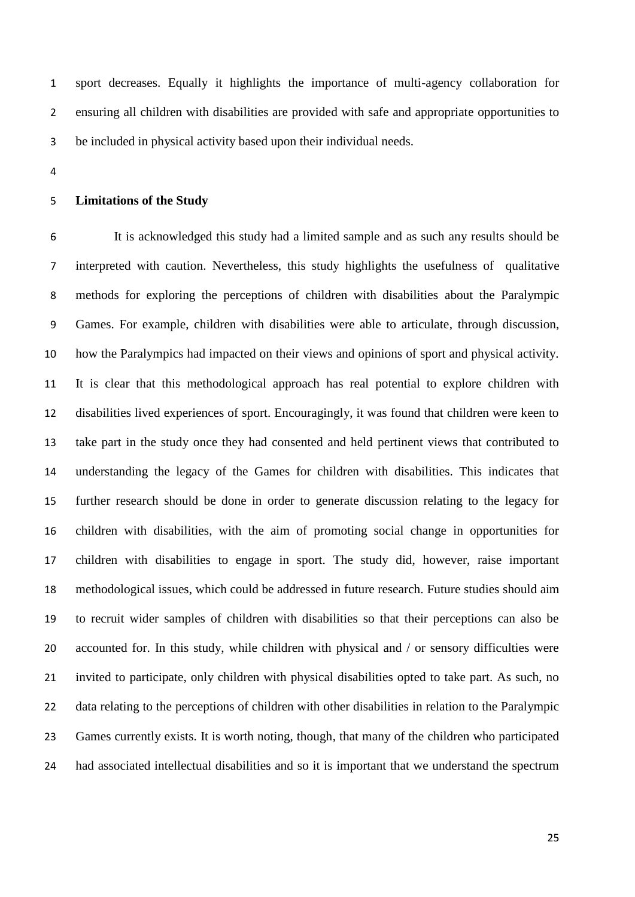sport decreases. Equally it highlights the importance of multi-agency collaboration for ensuring all children with disabilities are provided with safe and appropriate opportunities to be included in physical activity based upon their individual needs.

### **Limitations of the Study**

 It is acknowledged this study had a limited sample and as such any results should be interpreted with caution. Nevertheless, this study highlights the usefulness of qualitative methods for exploring the perceptions of children with disabilities about the Paralympic Games. For example, children with disabilities were able to articulate, through discussion, how the Paralympics had impacted on their views and opinions of sport and physical activity. It is clear that this methodological approach has real potential to explore children with disabilities lived experiences of sport. Encouragingly, it was found that children were keen to take part in the study once they had consented and held pertinent views that contributed to understanding the legacy of the Games for children with disabilities. This indicates that further research should be done in order to generate discussion relating to the legacy for children with disabilities, with the aim of promoting social change in opportunities for children with disabilities to engage in sport. The study did, however, raise important methodological issues, which could be addressed in future research. Future studies should aim to recruit wider samples of children with disabilities so that their perceptions can also be accounted for. In this study, while children with physical and / or sensory difficulties were invited to participate, only children with physical disabilities opted to take part. As such, no data relating to the perceptions of children with other disabilities in relation to the Paralympic Games currently exists. It is worth noting, though, that many of the children who participated had associated intellectual disabilities and so it is important that we understand the spectrum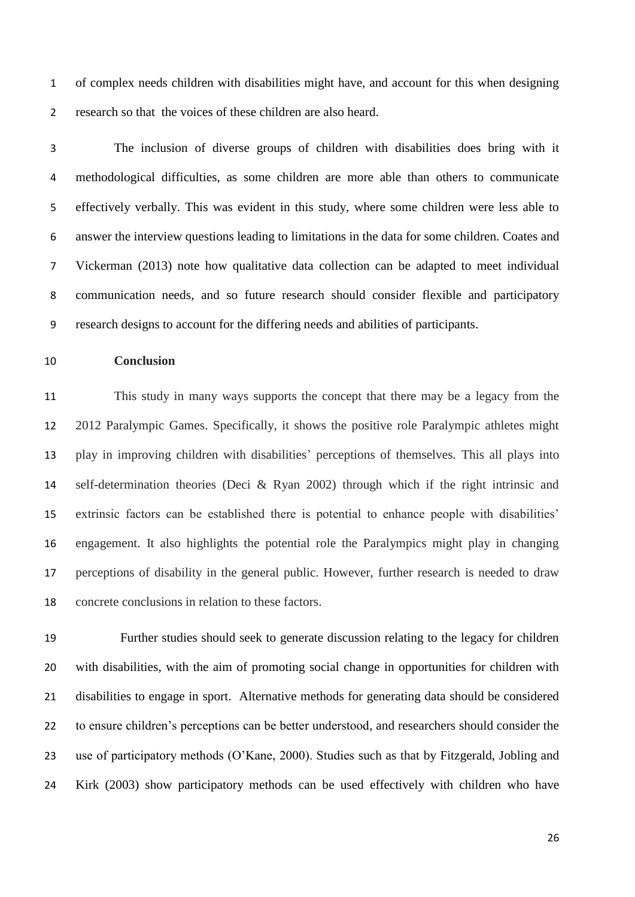of complex needs children with disabilities might have, and account for this when designing research so that the voices of these children are also heard.

 The inclusion of diverse groups of children with disabilities does bring with it methodological difficulties, as some children are more able than others to communicate effectively verbally. This was evident in this study, where some children were less able to answer the interview questions leading to limitations in the data for some children. Coates and Vickerman (2013) note how qualitative data collection can be adapted to meet individual communication needs, and so future research should consider flexible and participatory research designs to account for the differing needs and abilities of participants.

# **Conclusion**

 This study in many ways supports the concept that there may be a legacy from the 2012 Paralympic Games. Specifically, it shows the positive role Paralympic athletes might play in improving children with disabilities' perceptions of themselves. This all plays into self-determination theories (Deci & Ryan 2002) through which if the right intrinsic and extrinsic factors can be established there is potential to enhance people with disabilities' engagement. It also highlights the potential role the Paralympics might play in changing perceptions of disability in the general public. However, further research is needed to draw concrete conclusions in relation to these factors.

 Further studies should seek to generate discussion relating to the legacy for children with disabilities, with the aim of promoting social change in opportunities for children with disabilities to engage in sport. Alternative methods for generating data should be considered to ensure children's perceptions can be better understood, and researchers should consider the use of participatory methods (O'Kane, 2000). Studies such as that by Fitzgerald, Jobling and Kirk (2003) show participatory methods can be used effectively with children who have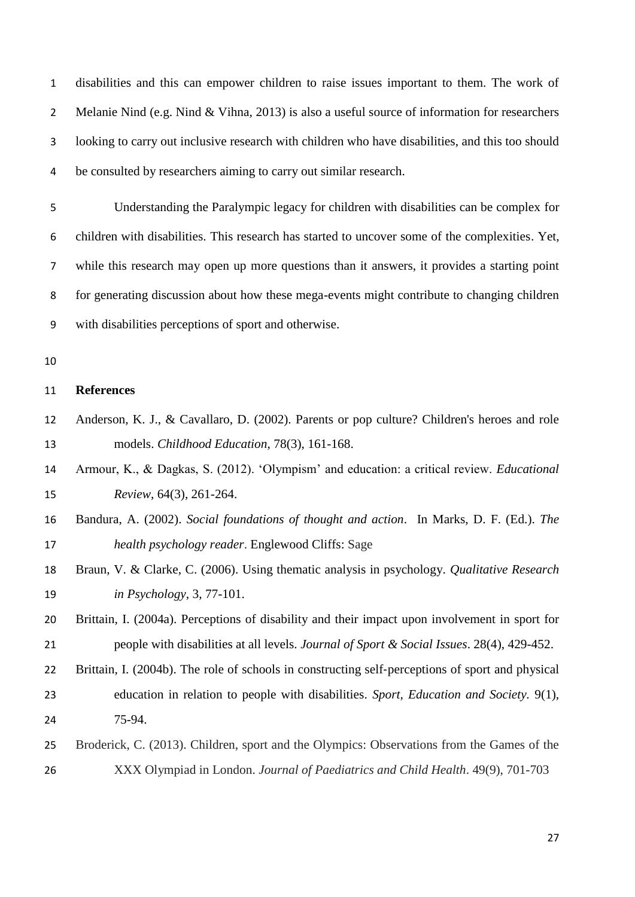disabilities and this can empower children to raise issues important to them. The work of 2 Melanie Nind (e.g. Nind & Vihna, 2013) is also a useful source of information for researchers looking to carry out inclusive research with children who have disabilities, and this too should be consulted by researchers aiming to carry out similar research.

 Understanding the Paralympic legacy for children with disabilities can be complex for children with disabilities. This research has started to uncover some of the complexities. Yet, while this research may open up more questions than it answers, it provides a starting point for generating discussion about how these mega-events might contribute to changing children with disabilities perceptions of sport and otherwise.

# **References**

- Anderson, K. J., & Cavallaro, D. (2002). Parents or pop culture? Children's heroes and role models. *Childhood Education*, 78(3), 161-168.
- Armour, K., & Dagkas, S. (2012). 'Olympism' and education: a critical review. *Educational Review*, 64(3), 261-264.
- Bandura, A. (2002). *Social foundations of thought and action*. In Marks, D. F. (Ed.). *The health psychology reader*. Englewood Cliffs: Sage
- Braun, V. & Clarke, C. (2006). Using thematic analysis in psychology. *Qualitative Research in Psychology*, 3, 77-101.
- Brittain, I. (2004a). Perceptions of disability and their impact upon involvement in sport for people with disabilities at all levels. *Journal of Sport & Social Issues*. 28(4), 429-452.
- 22 Brittain, I. (2004b). The role of schools in constructing self-perceptions of sport and physical education in relation to people with disabilities. *Sport, Education and Society.* 9(1), 75-94.
- Broderick, C. (2013). Children, sport and the Olympics: Observations from the Games of the XXX Olympiad in London. *Journal of Paediatrics and Child Health*. 49(9), 701-703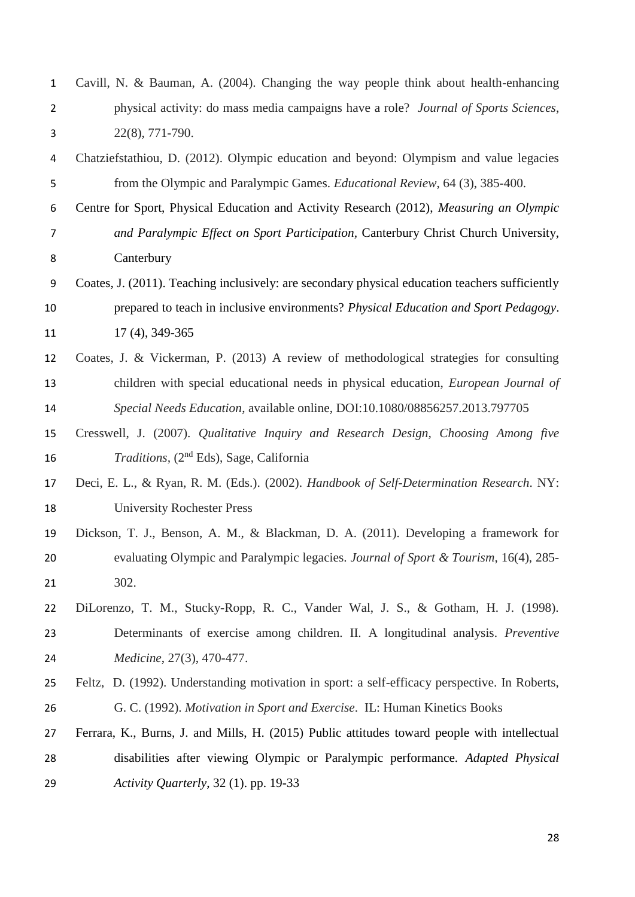| $\mathbf 1$    | Cavill, N. & Bauman, A. (2004). Changing the way people think about health-enhancing            |  |  |  |  |  |  |
|----------------|-------------------------------------------------------------------------------------------------|--|--|--|--|--|--|
| $\overline{2}$ | physical activity: do mass media campaigns have a role? Journal of Sports Sciences,             |  |  |  |  |  |  |
| 3              | $22(8), 771-790.$                                                                               |  |  |  |  |  |  |
| 4              | Chatziefstathiou, D. (2012). Olympic education and beyond: Olympism and value legacies          |  |  |  |  |  |  |
| 5              | from the Olympic and Paralympic Games. Educational Review, 64 (3), 385-400.                     |  |  |  |  |  |  |
| 6              | Centre for Sport, Physical Education and Activity Research (2012), Measuring an Olympic         |  |  |  |  |  |  |
| $\overline{7}$ | and Paralympic Effect on Sport Participation, Canterbury Christ Church University,              |  |  |  |  |  |  |
| 8              | Canterbury                                                                                      |  |  |  |  |  |  |
| 9              | Coates, J. (2011). Teaching inclusively: are secondary physical education teachers sufficiently |  |  |  |  |  |  |
| 10             | prepared to teach in inclusive environments? Physical Education and Sport Pedagogy.             |  |  |  |  |  |  |
| 11             | 17 (4), 349-365                                                                                 |  |  |  |  |  |  |
| 12             | Coates, J. & Vickerman, P. (2013) A review of methodological strategies for consulting          |  |  |  |  |  |  |
| 13             | children with special educational needs in physical education, <i>European Journal of</i>       |  |  |  |  |  |  |
| 14             | Special Needs Education, available online, DOI:10.1080/08856257.2013.797705                     |  |  |  |  |  |  |
| 15             | Cresswell, J. (2007). Qualitative Inquiry and Research Design, Choosing Among five              |  |  |  |  |  |  |
| 16             | <i>Traditions</i> , (2 <sup>nd</sup> Eds), Sage, California                                     |  |  |  |  |  |  |
| 17             | Deci, E. L., & Ryan, R. M. (Eds.). (2002). Handbook of Self-Determination Research. NY:         |  |  |  |  |  |  |
| 18             | <b>University Rochester Press</b>                                                               |  |  |  |  |  |  |
| 19             | Dickson, T. J., Benson, A. M., & Blackman, D. A. (2011). Developing a framework for             |  |  |  |  |  |  |
| 20             | evaluating Olympic and Paralympic legacies. Journal of Sport & Tourism, 16(4), 285-             |  |  |  |  |  |  |
| 21             | 302.                                                                                            |  |  |  |  |  |  |
| 22             | DiLorenzo, T. M., Stucky-Ropp, R. C., Vander Wal, J. S., & Gotham, H. J. (1998).                |  |  |  |  |  |  |
| 23             | Determinants of exercise among children. II. A longitudinal analysis. <i>Preventive</i>         |  |  |  |  |  |  |
| 24             | Medicine, 27(3), 470-477.                                                                       |  |  |  |  |  |  |
| 25             | Feltz, D. (1992). Understanding motivation in sport: a self-efficacy perspective. In Roberts,   |  |  |  |  |  |  |
| 26             | G. C. (1992). Motivation in Sport and Exercise. IL: Human Kinetics Books                        |  |  |  |  |  |  |
| 27             | Ferrara, K., Burns, J. and Mills, H. (2015) Public attitudes toward people with intellectual    |  |  |  |  |  |  |
| 28             | disabilities after viewing Olympic or Paralympic performance. Adapted Physical                  |  |  |  |  |  |  |
| 29             | Activity Quarterly, 32 (1). pp. 19-33                                                           |  |  |  |  |  |  |
|                |                                                                                                 |  |  |  |  |  |  |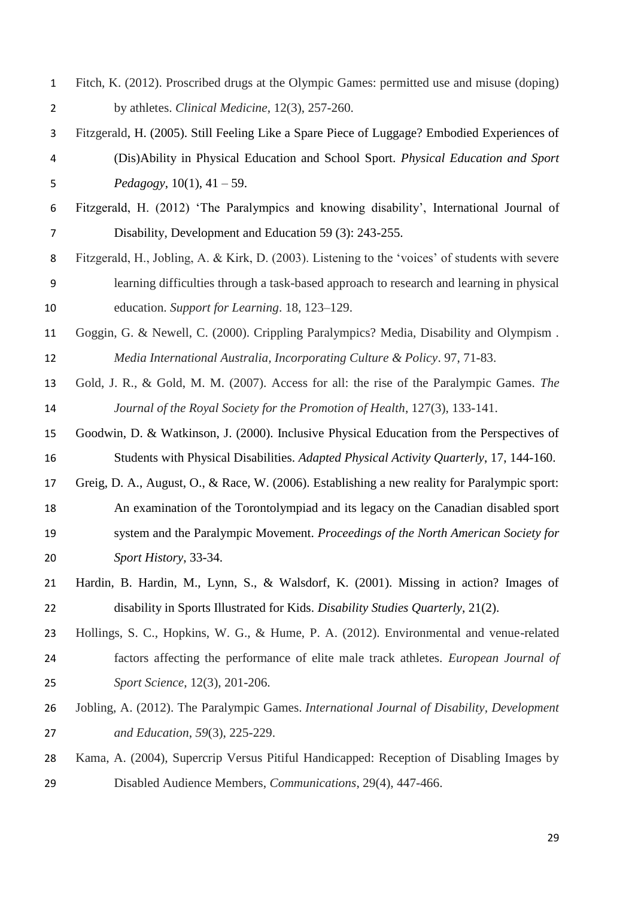- Fitch, K. (2012). Proscribed drugs at the Olympic Games: permitted use and misuse (doping) by athletes. *Clinical Medicine*, 12(3), 257-260.
- Fitzgerald, H. (2005). Still Feeling Like a Spare Piece of Luggage? Embodied Experiences of (Dis)Ability in Physical Education and School Sport. *Physical Education and Sport Pedagogy*, 10(1), 41 – 59.
- Fitzgerald, H. (2012) 'The Paralympics and knowing disability', International Journal of Disability, Development and Education 59 (3): 243-255.
- Fitzgerald, H., Jobling, A. & Kirk, D. (2003). Listening to the 'voices' of students with severe learning difficulties through a task-based approach to research and learning in physical education. *Support for Learning*. 18, 123–129.
- Goggin, G. & Newell, C. (2000). Crippling Paralympics? Media, Disability and Olympism . *Media International Australia, Incorporating Culture & Policy*. 97, 71-83.
- Gold, J. R., & Gold, M. M. (2007). Access for all: the rise of the Paralympic Games. *The Journal of the Royal Society for the Promotion of Health*, 127(3), 133-141.
- Goodwin, D. & Watkinson, J. (2000). Inclusive Physical Education from the Perspectives of Students with Physical Disabilities. *Adapted Physical Activity Quarterly*, 17, 144-160.
- Greig, D. A., August, O., & Race, W. (2006). Establishing a new reality for Paralympic sport: An examination of the Torontolympiad and its legacy on the Canadian disabled sport system and the Paralympic Movement. *Proceedings of the North American Society for Sport History*, 33-34.
- Hardin, B. Hardin, M., Lynn, S., & Walsdorf, K. (2001). Missing in action? Images of disability in Sports Illustrated for Kids. *Disability Studies Quarterly*, 21(2).
- Hollings, S. C., Hopkins, W. G., & Hume, P. A. (2012). Environmental and venue-related factors affecting the performance of elite male track athletes. *European Journal of Sport Science*, 12(3), 201-206.
- Jobling, A. (2012). The Paralympic Games. *International Journal of Disability, Development and Education*, *59*(3), 225-229.
- Kama, A. (2004), Supercrip Versus Pitiful Handicapped: Reception of Disabling Images by Disabled Audience Members, *Communications*, 29(4), 447-466.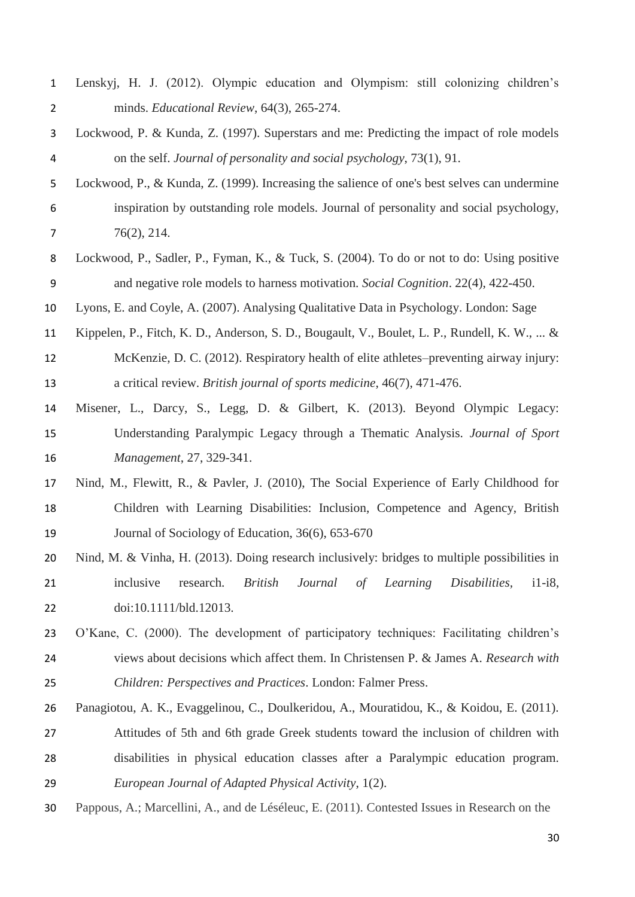| $\mathbf{1}$   | Lenskyj, H. J. (2012). Olympic education and Olympism: still colonizing children's                  |  |  |  |  |  |
|----------------|-----------------------------------------------------------------------------------------------------|--|--|--|--|--|
| $\overline{2}$ | minds. Educational Review, 64(3), 265-274.                                                          |  |  |  |  |  |
| 3              | Lockwood, P. & Kunda, Z. (1997). Superstars and me: Predicting the impact of role models            |  |  |  |  |  |
| 4              | on the self. Journal of personality and social psychology, 73(1), 91.                               |  |  |  |  |  |
| 5              | Lockwood, P., & Kunda, Z. (1999). Increasing the salience of one's best selves can undermine        |  |  |  |  |  |
| 6              | inspiration by outstanding role models. Journal of personality and social psychology,               |  |  |  |  |  |
| $\overline{7}$ | 76(2), 214.                                                                                         |  |  |  |  |  |
| 8              | Lockwood, P., Sadler, P., Fyman, K., & Tuck, S. (2004). To do or not to do: Using positive          |  |  |  |  |  |
| 9              | and negative role models to harness motivation. <i>Social Cognition</i> . 22(4), 422-450.           |  |  |  |  |  |
| 10             | Lyons, E. and Coyle, A. (2007). Analysing Qualitative Data in Psychology. London: Sage              |  |  |  |  |  |
| 11             | Kippelen, P., Fitch, K. D., Anderson, S. D., Bougault, V., Boulet, L. P., Rundell, K. W.,  &        |  |  |  |  |  |
| 12             | McKenzie, D. C. (2012). Respiratory health of elite athletes–preventing airway injury:              |  |  |  |  |  |
| 13             | a critical review. British journal of sports medicine, 46(7), 471-476.                              |  |  |  |  |  |
| 14             | Misener, L., Darcy, S., Legg, D. & Gilbert, K. (2013). Beyond Olympic Legacy:                       |  |  |  |  |  |
| 15             | Understanding Paralympic Legacy through a Thematic Analysis. Journal of Sport                       |  |  |  |  |  |
| 16             | Management, 27, 329-341.                                                                            |  |  |  |  |  |
| 17             | Nind, M., Flewitt, R., & Pavler, J. (2010), The Social Experience of Early Childhood for            |  |  |  |  |  |
| 18             | Children with Learning Disabilities: Inclusion, Competence and Agency, British                      |  |  |  |  |  |
| 19             | Journal of Sociology of Education, 36(6), 653-670                                                   |  |  |  |  |  |
| 20             | Nind, M. & Vinha, H. (2013). Doing research inclusively: bridges to multiple possibilities in       |  |  |  |  |  |
| 21             | inclusive<br>research.<br><b>British</b><br>Journal<br>Learning<br>of<br>Disabilities,<br>$i1-i8$ , |  |  |  |  |  |
| 22             | doi:10.1111/bld.12013.                                                                              |  |  |  |  |  |
| 23             | O'Kane, C. (2000). The development of participatory techniques: Facilitating children's             |  |  |  |  |  |
| 24             | views about decisions which affect them. In Christensen P. & James A. Research with                 |  |  |  |  |  |
| 25             | Children: Perspectives and Practices. London: Falmer Press.                                         |  |  |  |  |  |
| 26             | Panagiotou, A. K., Evaggelinou, C., Doulkeridou, A., Mouratidou, K., & Koidou, E. (2011).           |  |  |  |  |  |
| 27             | Attitudes of 5th and 6th grade Greek students toward the inclusion of children with                 |  |  |  |  |  |
| 28             | disabilities in physical education classes after a Paralympic education program.                    |  |  |  |  |  |
| 29             | European Journal of Adapted Physical Activity, 1(2).                                                |  |  |  |  |  |
| 30             | Pappous, A.; Marcellini, A., and de Léséleuc, E. (2011). Contested Issues in Research on the        |  |  |  |  |  |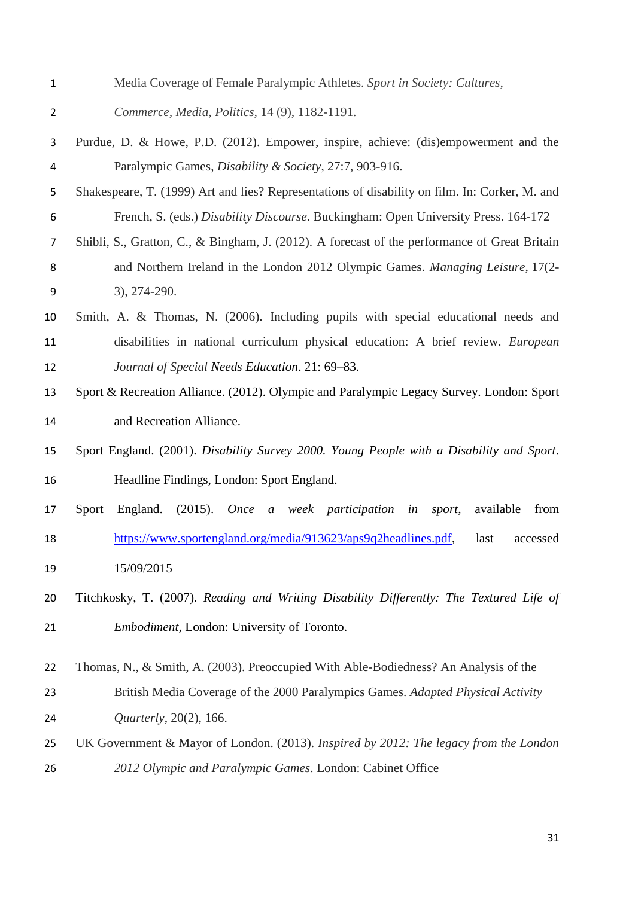- Media Coverage of Female Paralympic Athletes. *Sport in Society: Cultures,*
- *Commerce, Media, Politics,* 14 (9), 1182-1191.
- Purdue, D. & Howe, P.D. (2012). Empower, inspire, achieve: (dis)empowerment and the Paralympic Games, *Disability & Society*, 27:7, 903-916.
- Shakespeare, T. (1999) Art and lies? Representations of disability on film. In: Corker, M. and French, S. (eds.) *Disability Discourse*. Buckingham: Open University Press. 164-172
- Shibli, S., Gratton, C., & Bingham, J. (2012). A forecast of the performance of Great Britain and Northern Ireland in the London 2012 Olympic Games. *Managing Leisure*, 17(2- 3), 274-290.
- Smith, A. & Thomas, N. (2006). Including pupils with special educational needs and disabilities in national curriculum physical education: A brief review. *European Journal of Special Needs Education*. 21: 69–83.
- Sport & Recreation Alliance. (2012). Olympic and Paralympic Legacy Survey. London: Sport and Recreation Alliance.
- Sport England. (2001). *Disability Survey 2000. Young People with a Disability and Sport*. Headline Findings, London: Sport England.
- Sport England. (2015). *Once a week participation in sport*, available from [https://www.sportengland.org/media/913623/aps9q2headlines.pdf,](https://www.sportengland.org/media/913623/aps9q2headlines.pdf) last accessed 15/09/2015
- Titchkosky, T. (2007). *[Reading and Writing Disability Differently: The Textured Life of](http://find.lib.uts.edu.au/search;jsessionid=A431C3019E910F72EF1F567E673D7DFB?R=OPAC_b2260102)  [Embodiment,](http://find.lib.uts.edu.au/search;jsessionid=A431C3019E910F72EF1F567E673D7DFB?R=OPAC_b2260102)* London: University of Toronto.

Thomas, N., & Smith, A. (2003). Preoccupied With Able-Bodiedness? An Analysis of the

- British Media Coverage of the 2000 Paralympics Games. *Adapted Physical Activity Quarterly*, 20(2), 166.
- UK Government & Mayor of London. (2013). *Inspired by 2012: The legacy from the London 2012 Olympic and Paralympic Games*. London: Cabinet Office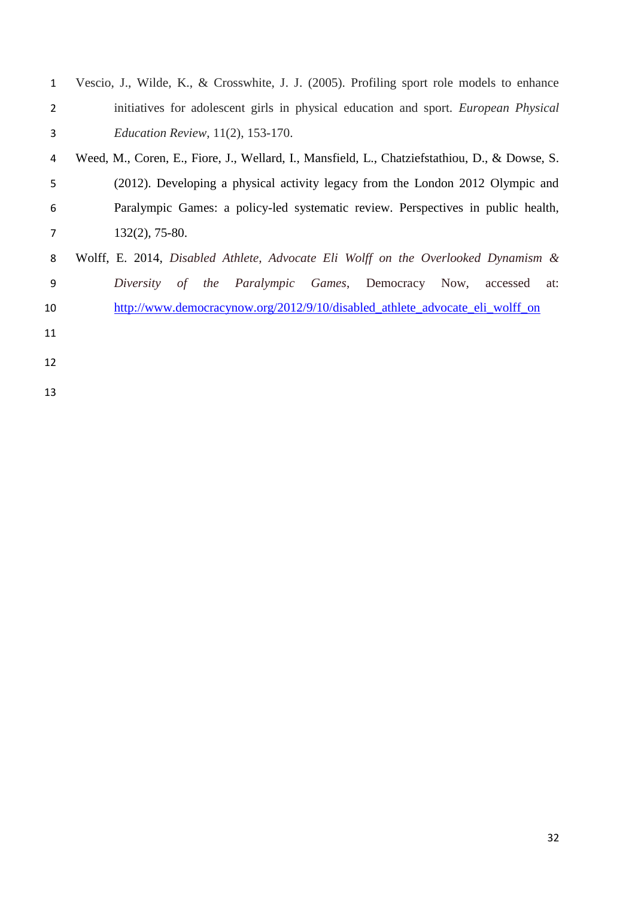| Vescio, J., Wilde, K., & Crosswhite, J. J. (2005). Profiling sport role models to enhance     |  |  |  |  |  |  |
|-----------------------------------------------------------------------------------------------|--|--|--|--|--|--|
| initiatives for adolescent girls in physical education and sport. <i>European Physical</i>    |  |  |  |  |  |  |
| <i>Education Review</i> , 11(2), 153-170.                                                     |  |  |  |  |  |  |
| Weed, M., Coren, E., Fiore, J., Wellard, I., Mansfield, L., Chatziefstathiou, D., & Dowse, S. |  |  |  |  |  |  |
| (2012). Developing a physical activity legacy from the London 2012 Olympic and                |  |  |  |  |  |  |
| Paralympic Games: a policy-led systematic review. Perspectives in public health,              |  |  |  |  |  |  |
| $132(2)$ , 75-80.                                                                             |  |  |  |  |  |  |
| Wolff, E. 2014, Disabled Athlete, Advocate Eli Wolff on the Overlooked Dynamism &             |  |  |  |  |  |  |
| of the Paralympic Games, Democracy Now,<br>Diversity<br>accessed<br>at:                       |  |  |  |  |  |  |
| http://www.democracynow.org/2012/9/10/disabled athlete advocate eli wolff on                  |  |  |  |  |  |  |
|                                                                                               |  |  |  |  |  |  |
|                                                                                               |  |  |  |  |  |  |
|                                                                                               |  |  |  |  |  |  |
|                                                                                               |  |  |  |  |  |  |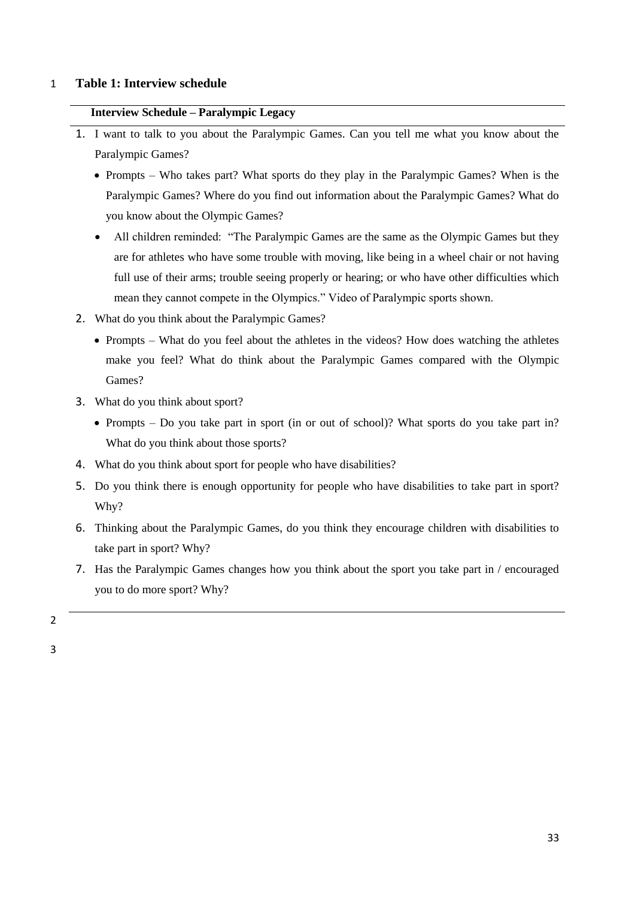### 1 **Table 1: Interview schedule**

### **Interview Schedule – Paralympic Legacy**

- 1. I want to talk to you about the Paralympic Games. Can you tell me what you know about the Paralympic Games?
	- Prompts Who takes part? What sports do they play in the Paralympic Games? When is the Paralympic Games? Where do you find out information about the Paralympic Games? What do you know about the Olympic Games?
	- All children reminded: "The Paralympic Games are the same as the Olympic Games but they are for athletes who have some trouble with moving, like being in a wheel chair or not having full use of their arms; trouble seeing properly or hearing; or who have other difficulties which mean they cannot compete in the Olympics." Video of Paralympic sports shown.
- 2. What do you think about the Paralympic Games?
	- Prompts What do you feel about the athletes in the videos? How does watching the athletes make you feel? What do think about the Paralympic Games compared with the Olympic Games?
- 3. What do you think about sport?
	- Prompts Do you take part in sport (in or out of school)? What sports do you take part in? What do you think about those sports?
- 4. What do you think about sport for people who have disabilities?
- 5. Do you think there is enough opportunity for people who have disabilities to take part in sport? Why?
- 6. Thinking about the Paralympic Games, do you think they encourage children with disabilities to take part in sport? Why?
- 7. Has the Paralympic Games changes how you think about the sport you take part in / encouraged you to do more sport? Why?